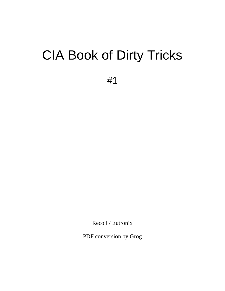# CIA Book of Dirty Tricks

#1

Recoil / Eutronix

PDF conversion by Grog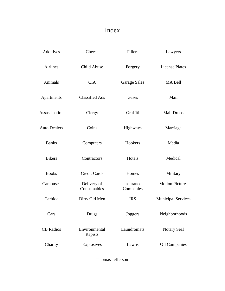## Index

| Additives           | Cheese                     | Fillers                | Lawyers                   |
|---------------------|----------------------------|------------------------|---------------------------|
| <b>Airlines</b>     | Child Abuse                | Forgery                | <b>License Plates</b>     |
| Animals             | <b>CIA</b>                 | <b>Garage Sales</b>    | MA Bell                   |
| Apartments          | <b>Classified Ads</b>      | Gases                  | Mail                      |
| Assassination       | Clergy                     | Graffiti               | <b>Mail Drops</b>         |
| <b>Auto Dealers</b> | Coins                      | Highways               | Marriage                  |
| <b>Banks</b>        | Computers                  | Hookers                | Media                     |
| <b>Bikers</b>       | Contractors                | Hotels                 | Medical                   |
| <b>Books</b>        | <b>Credit Cards</b>        | Homes                  | Military                  |
| Campuses            | Delivery of<br>Consumables | Insurance<br>Companies | <b>Motion Pictures</b>    |
| Carbide             | Dirty Old Men              | <b>IRS</b>             | <b>Municipal Services</b> |
| Cars                | Drugs                      | Joggers                | Neighborhoods             |
| <b>CB</b> Radios    | Environmental<br>Rapists   | Laundromats            | <b>Notary Seal</b>        |
| Charity             | Explosives                 | Lawns                  | Oil Companies             |
|                     |                            |                        |                           |

[Thomas Jefferson](#page-118-0)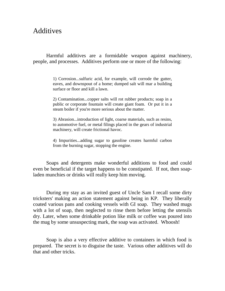#### <span id="page-2-0"></span>**Additives**

Harmful additives are a formidable weapon against machinery, people, and processes. Additives perform one or more of the following:

> 1) Corrosion...sulfuric acid, for example, will corrode the gutter, eaves, and downspout of a home; dumped salt will mar a building surface or floor and kill a lawn.

> 2) Contamination...copper salts will rot rubber products; soap in a public or corporate fountain will create giant foam. Or put it in a steam boiler if you're more serious about the matter.

> 3) Abrasion...introduction of light, coarse materials, such as resins, to automotive fuel, or metal filings placed in the gears of industrial machinery, will create frictional havoc.

> 4) Impurities...adding sugar to gasoline creates harmful carbon from the burning sugar, stopping the engine.

Soaps and detergents make wonderful additions to food and could even be beneficial if the target happens to be constipated. If not, then soapladen munchies or drinks will really keep him moving.

During my stay as an invited guest of Uncle Sam I recall some dirty tricksters' making an action statement against being in KP. They liberally coated various pans and cooking vessels with GI soap. They washed mugs with a lot of soap, then neglected to rinse them before letting the utensils dry. Later, when some drinkable potion like milk or coffee was poured into the mug by some unsuspecting mark, the soap was activated. Whoosh!

Soap is also a very effective additive to containers in which food is prepared. The secret is to disguise the taste. Various other additives will do that and other tricks.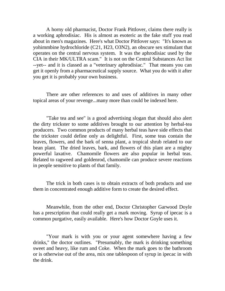A horny old pharmacist, Doctor Frank Pittlover, claims there really is a working aphrodisiac. His is almost as esoteric as the fake stuff you read about in men's magazines. Here's what Doctor Pittlover says: "It's known as yohimmbine hydrochloride (C21, H23, O3N2), an obscure sex stimulant that operates on the central nervous system. It was the aphrodisiac used by the CIA in their MK/ULTRA scam." It is not on the Central Substances Act list --yet-- and it is classed as a "veterinary aphrodisiac." That means you can get it openly from a pharmaceutical supply source. What you do with it after you get it is probably your own business.

There are other references to and uses of additives in many other topical areas of your revenge...many more than could be indexed here.

"Take tea and see" is a good advertising slogan that should also alert the dirty trickster to some additives brought to our attention by herbal-tea producers. Two common products of many herbal teas have side effects that the trickster could define only as delightful. First, some teas contain the leaves, flowers, and the bark of senna plant, a tropical shrub related to our bean plant. The dried leaves, bark, and flowers of this plant are a mighty powerful laxative. Chamomile flowers are also popular in herbal teas. Related to ragweed and goldenrod, chamomile can produce severe reactions in people sensitive to plants of that family.

The trick in both cases is to obtain extracts of both products and use them in concentrated enough additive form to create the desired effect.

Meanwhile, from the other end, Doctor Christopher Garwood Doyle has a prescription that could really get a mark moving. Syrup of ipecac is a common purgative, easily available. Here's how Doctor Goyle uses it.

"Your mark is with you or your agent somewhere having a few drinks," the doctor outlines. "Presumably, the mark is drinking something sweet and heavy, like rum and Coke. When the mark goes to the bathroom or is otherwise out of the area, mix one tablespoon of syrup in ipecac in with the drink.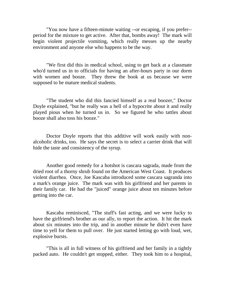"You now have a fifteen-minute waiting --or escaping, if you prefer- period for the mixture to get active. After that, bombs away! The mark will begin violent projectile vomiting, which really messes up the nearby environment and anyone else who happens to be the way.

"We first did this in medical school, using to get back at a classmate who'd turned us in to officials for having an after-hours party in our dorm with women and booze. They threw the book at us because we were supposed to be mature medical students.

"The student who did this fancied himself as a real boozer," Doctor Doyle explained, "but he really was a hell of a hypocrite about it and really played pious when he turned us in. So we figured he who tattles about booze shall also toss his booze."

Doctor Doyle reports that this additive will work easily with nonalcoholic drinks, too. He says the secret is to select a carrier drink that will hide the taste and consistency of the syrup.

Another good remedy for a hotshot is cascara sagrada, made from the dried root of a thorny shrub found on the American West Coast. It produces violent diarrhea. Once, Joe Kascaba introduced some cascara sagranda into a mark's orange juice. The mark was with his girlfriend and her parents in their family car. He had the "juiced" orange juice about ten minutes before getting into the car.

Kascaba reminisced, "The stuff's fast acting, and we were lucky to have the girlfriend's brother as our ally, to report the action. It hit the mark about six minutes into the trip, and in another minute he didn't even have time to yell for them to pull over. He just started letting go with loud, wet, explosive bursts.

"This is all in full witness of his girlfriend and her family in a tightly packed auto. He couldn't get stopped, either. They took him to a hospital,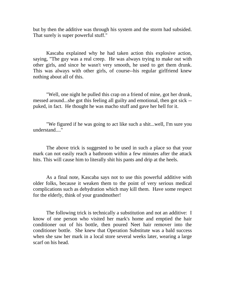but by then the additive was through his system and the storm had subsided. That surely is super powerful stuff."

Kascaba explained why he had taken action this explosive action, saying, "The guy was a real creep. He was always trying to make out with other girls, and since he wasn't very smooth, he used to get them drunk. This was always with other girls, of course--his regular girlfriend knew nothing about all of this.

"Well, one night he pulled this crap on a friend of mine, got her drunk, messed around...she got this feeling all guilty and emotional, then got sick - puked, in fact. He thought he was macho stuff and gave her hell for it.

"We figured if he was going to act like such a shit...well, I'm sure you understand...."

The above trick is suggested to be used in such a place so that your mark can not easily reach a bathroom within a few minutes after the attack hits. This will cause him to literally shit his pants and drip at the heels.

As a final note, Kascaba says not to use this powerful additive with older folks, because it weaken them to the point of very serious medical complications such as dehydration which may kill them. Have some respect for the elderly, think of your grandmother!

The following trick is technically a substitution and not an additive: I know of one person who visited her mark's home and emptied the hair conditioner out of his bottle, then poured Neet hair remover into the conditioner bottle. She knew that Operation Substitute was a bald success when she saw her mark in a local store several weeks later, wearing a large scarf on his head.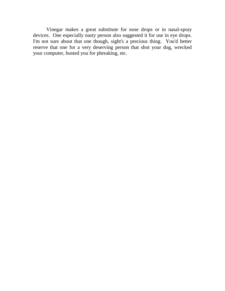Vinegar makes a great substitute for nose drops or in nasal-spray devices. One especially nasty person also suggested it for use in eye drops. I'm not sure about that one though, sight's a precious thing. You'd better reserve that one for a very deserving person that shot your dog, wrecked your computer, busted you for phreaking, etc.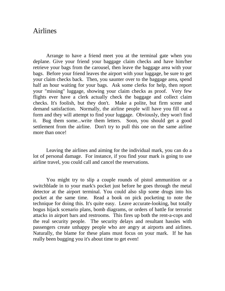#### <span id="page-7-0"></span>Airlines

Arrange to have a friend meet you at the terminal gate when you deplane. Give your friend your baggage claim checks and have him/her retrieve your bags from the carousel, then leave the baggage area with your bags. Before your friend leaves the airport with your luggage, be sure to get your claim checks back. Then, you saunter over to the baggage area, spend half an hour waiting for your bags. Ask some clerks for help, then report your "missing" luggage, showing your claim checks as proof. Very few flights ever have a clerk actually check the baggage and collect claim checks. It's foolish, but they don't. Make a polite, but firm scene and demand satisfaction. Normally, the airline people will have you fill out a form and they will attempt to find your luggage. Obviously, they won't find it. Bug them some...write them letters. Soon, you should get a good settlement from the airline. Don't try to pull this one on the same airline more than once!

Leaving the airlines and aiming for the individual mark, you can do a lot of personal damage. For instance, if you find your mark is going to use airline travel, you could call and cancel the reservations.

You might try to slip a couple rounds of pistol ammunition or a switchblade in to your mark's pocket just before he goes through the metal detector at the airport terminal. You could also slip some drugs into his pocket at the same time. Read a book on pick pocketing to note the technique for doing this. It's quite easy. Leave accurate-looking, but totally bogus hijack scenario plans, bomb diagrams, or orders of battle for terrorist attacks in airport bars and restrooms. This fires up both the rent-a-cops and the real security people. The security delays and resultant hassles with passengers create unhappy people who are angry at airports and airlines. Naturally, the blame for these plans must focus on your mark. If he has really been bugging you it's about time to get even!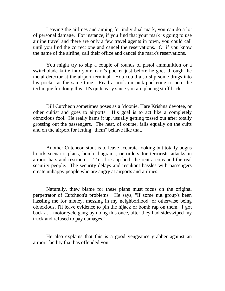Leaving the airlines and aiming for individual mark, you can do a lot of personal damage. For instance, if you find that your mark is going to use airline travel and there are only a few travel agents in town, you could call until you find the correct one and cancel the reservations. Or if you know the name of the airline, call their office and cancel the mark's reservations.

 You might try to slip a couple of rounds of pistol ammunition or a switchblade knife into your mark's pocket just before he goes through the metal detector at the airport terminal. You could also slip some drugs into his pocket at the same time. Read a book on pick-pocketing to note the technique for doing this. It's quite easy since you are placing stuff back.

 Bill Cutcheon sometimes poses as a Moonie, Hare Krishna devotee, or other cultist and goes to airports. His goal is to act like a completely obnoxious fool. He really hams it up, usually getting tossed out after totally grossing out the passengers. The heat, of course, falls equally on the cults and on the airport for letting "them" behave like that.

 Another Cutcheon stunt is to leave accurate-looking but totally bogus hijack scenario plans, bomb diagrams, or orders for terrorists attacks in airport bars and restrooms. This fires up both the rent-a-cops and the real security people. The security delays and resultant hassles with passengers create unhappy people who are angry at airports and airlines.

 Naturally, thew blame for these plans must focus on the original perpetrator of Cutcheon's problems. He says, "If some nut group's been hassling me for money, messing in my neighborhood, or otherwise being obnoxious, I'll leave evidence to pin the hijack or bomb rap on them. I got back at a motorcycle gang by doing this once, after they had sideswiped my truck and refused to pay damages."

 He also explains that this is a good vengeance grabber against an airport facility that has offended you.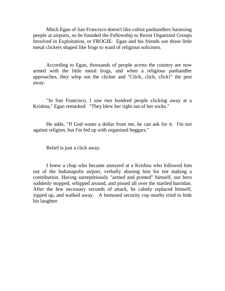Mitch Egan of San Francisco doesn't like cultist panhandlers harassing people at airports, so he founded the Fellowship to Resist Organized Groups Involved in Exploitation, or FROGIE. Egan and his friends use those little metal clickers shaped like frogs to ward of religious solicitors.

 According to Egan, thousands of people across the country are now armed with the little metal frogs, and when a religious panhandler approaches, they whip out the clicker and "Click, click, click!" the pest away.

 "In San Francisco, I saw two hundred people clicking away at a Krishna," Egan remarked. "They blew her right out of her socks."

 He adds, "If God wants a dollar from me, he can ask for it. I'm not against religion, but I'm fed up with organized beggars."

Relief is just a click away.

 I knew a chap who became annoyed at a Krishna who followed him out of the Indianapolis airport, verbally abusing him for not making a contribution. Having surreptitiously "armed and primed" himself, our hero suddenly stopped, whipped around, and pissed all over the startled harridan. After the few necessary seconds of attack, he calmly replaced himself, zipped up, and walked away. A bemused security cop nearby tried to hide his laughter.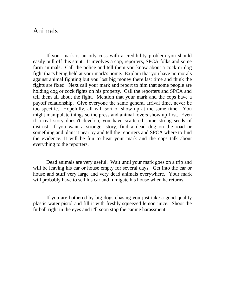#### <span id="page-10-0"></span>Animals

If your mark is an oily cuss with a credibility problem you should easily pull off this stunt. It involves a cop, reporters, SPCA folks and some farm animals. Call the police and tell them you know about a cock or dog fight that's being held at your mark's home. Explain that you have no morals against animal fighting but you lost big money there last time and think the fights are fixed. Next call your mark and report to him that some people are holding dog or cock fights on his property. Call the reporters and SPCA and tell them all about the fight. Mention that your mark and the cops have a payoff relationship. Give everyone the same general arrival time, never be too specific. Hopefully, all will sort of show up at the same time. You might manipulate things so the press and animal lovers show up first. Even if a real story doesn't develop, you have scattered some strong seeds of distrust. If you want a stronger story, find a dead dog on the road or something and plant it near by and tell the reporters and SPCA where to find the evidence. It will be fun to hear your mark and the cops talk about everything to the reporters.

 Dead animals are very useful. Wait until your mark goes on a trip and will be leaving his car or house empty for several days. Get into the car or house and stuff very large and very dead animals everywhere. Your mark will probably have to sell his car and fumigate his house when he returns.

 If you are bothered by big dogs chasing you just take a good quality plastic water pistol and fill it with freshly squeezed lemon juice. Shoot the furball right in the eyes and it'll soon stop the canine harassment.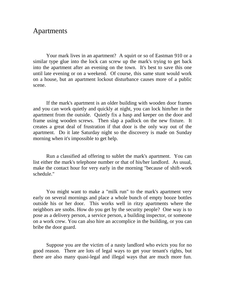#### <span id="page-11-0"></span>Apartments

Your mark lives in an apartment? A squirt or so of Eastman 910 or a similar type glue into the lock can screw up the mark's trying to get back into the apartment after an evening on the town. It's best to save this one until late evening or on a weekend. Of course, this same stunt would work on a house, but an apartment lockout disturbance causes more of a public scene.

 If the mark's apartment is an older building with wooden door frames and you can work quietly and quickly at night, you can lock him/her in the apartment from the outside. Quietly fix a hasp and keeper on the door and frame using wooden screws. Then slap a padlock on the new fixture. It creates a great deal of frustration if that door is the only way out of the apartment. Do it late Saturday night so the discovery is made on Sunday morning when it's impossible to get help.

 Run a classified ad offering to sublet the mark's apartment. You can list either the mark's telephone number or that of his/her landlord. As usual, make the contact hour for very early in the morning "because of shift-work schedule."

 You might want to make a "milk run" to the mark's apartment very early on several mornings and place a whole bunch of empty booze bottles outside his or her door. This works well in ritzy apartments where the neighbors are snobs. How do you get by the security people? One way is to pose as a delivery person, a service person, a building inspector, or someone on a work crew. You can also hire an accomplice in the building, or you can bribe the door guard.

 Suppose you are the victim of a nasty landlord who evicts you for no good reason. There are lots of legal ways to get your tenant's rights, but there are also many quasi-legal and illegal ways that are much more fun.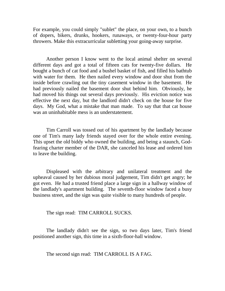For example, you could simply "sublet" the place, on your own, to a bunch of dopers, bikers, drunks, hookers, runaways, or twenty-four-hour party throwers. Make this extracurricular subletting your going-away surprise.

 Another person I know went to the local animal shelter on several different days and got a total of fifteen cats for twenty-five dollars. He bought a bunch of cat food and a bushel basket of fish, and filled his bathtub with water for them. He then nailed every window and door shut from the inside before crawling out the tiny casement window in the basement. He had previously nailed the basement door shut behind him. Obviously, he had moved his things out several days previously. His eviction notice was effective the next day, but the landlord didn't check on the house for five days. My God, what a mistake that man made. To say that that cat house was an uninhabitable mess is an understatement.

 Tim Carroll was tossed out of his apartment by the landlady because one of Tim's many lady friends stayed over for the whole entire evening. This upset the old biddy who owned the building, and being a staunch, Godfearing charter member of the DAR, she canceled his lease and ordered him to leave the building.

 Displeased with the arbitrary and unilateral treatment and the upheaval caused by her dubious moral judgement, Tim didn't get angry; he got even. He had a trusted friend place a large sign in a hallway window of the landlady's apartment building. The seventh-floor window faced a busy business street, and the sign was quite visible to many hundreds of people.

The sign read: TIM CARROLL SUCKS.

 The landlady didn't see the sign, so two days later, Tim's friend positioned another sign, this time in a sixth-floor-hall window.

The second sign read: TIM CARROLL IS A FAG.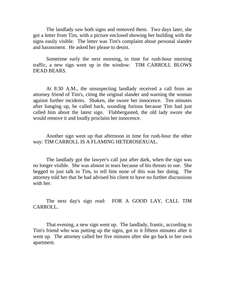The landlady saw both signs and removed them. Two days later, she got a letter from Tim, with a picture enclosed showing her building with the signs easily visible. The letter was Tim's complaint about personal slander and harassment. He asked her please to desist.

 Sometime early the next morning, in time for rush-hour morning traffic, a new sign went up in the window: TIM CARROLL BLOWS DEAD BEARS.

 At 8:30 A.M., the unsuspecting landlady received a call from an attorney friend of Tim's, citing the original slander and warning the woman against further incidents. Shaken, she swore her innocence. Ten minutes after hanging up, he called back, sounding furious because Tim had just called him about the latest sign. Flabbergasted, the old lady swore she would remove it and loudly proclaim her innocence.

 Another sign went up that afternoon in time for rush-hour the other way: TIM CARROLL IS A FLAMING HETEROSEXUAL.

 The landlady got the lawyer's call just after dark, when the sign was no longer visible. She was almost in tears because of his threats to sue. She begged to just talk to Tim, to tell him none of this was her doing. The attorney told her that he had advised his client to have no further discussions with her.

 The next day's sign read: FOR A GOOD LAY, CALL TIM CARROLL.

 That evening, a new sign went up. The landlady, frantic, according to Tim's friend who was putting up the signs, got to it fifteen minutes after it went up. The attorney called her five minutes after she go back to her own apartment.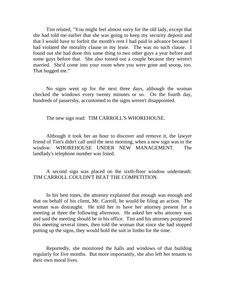Tim related, "You might feel almost sorry for the old lady, except that she had told me earlier that she was going to keep my security deposit and that I would have to forfeit the month's rent I had paid in advance because I had violated the morality clause in my lease. The was no such clause. I found out she had done this same thing to two other guys a year before and some guys before that. She also tossed out a couple because they weren't married. She'd come into your room when you were gone and snoop, too. That bugged me."

 No signs went up for the next three days, although the woman checked the windows every twenty minutes or so. On the fourth day, hundreds of passersby, accustomed to the signs weren't disappointed.

#### The new sign read: TIM CARROLL'S WHOREHOUSE.

 Although it took her an hour to discover and remove it, the lawyer friend of Tim's didn't call until the next morning, when a new sign was in the window: WHOREHOUSE UNDER NEW MANAGEMENT. The landlady's telephone number was listed.

 A second sign was placed on the sixth-floor window underneath: TIM CARROLL COULDN'T BEAT THE COMPETITION.

 In his best tones, the attorney explained that enough was enough and that on behalf of his client, Mr. Carroll, he would be filing an action. The woman was distraught. He told her to have her attorney present for a meeting at three the following afternoon. He asked her who attorney was and said the meeting should be in his office. Tim and his attorney postponed this meeting several times, then told the woman that since she had stopped putting up the signs, they would hold the suit in limbo for the time.

 Reportedly, she monitored the halls and windows of that building regularly for five months. But more importantly, she also left her tenants to their own moral lives.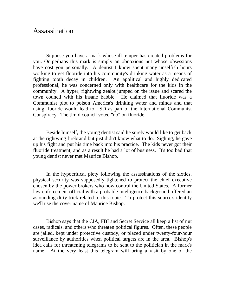### <span id="page-15-0"></span>Assassination

Suppose you have a mark whose ill temper has created problems for you. Or perhaps this mark is simply an obnoxious nut whose obsessions have cost you personally. A dentist I know spent many unselfish hours working to get fluoride into his community's drinking water as a means of fighting tooth decay in children. An apolitical and highly dedicated professional, he was concerned only with healthcare for the kids in the community. A hyper, rightwing zealot jumped on the issue and scared the town council with his insane babble. He claimed that fluoride was a Communist plot to poison America's drinking water and minds and that using fluoride would lead to LSD as part of the International Communist Conspiracy. The timid council voted "no" on fluoride.

 Beside himself, the young dentist said he surely would like to get back at the rightwing firebrand but just didn't know what to do. Sighing, he gave up his fight and put his time back into his practice. The kids never got their fluoride treatment, and as a result he had a lot of business. It's too bad that young dentist never met Maurice Bishop.

 In the hypocritical piety following the assassinations of the sixties, physical security was supposedly tightened to protect the chief executive chosen by the power brokers who now control the United States. A former law-enforcement official with a probable intelligence background offered an astounding dirty trick related to this topic. To protect this source's identity we'll use the cover name of Maurice Bishop.

 Bishop says that the CIA, FBI and Secret Service all keep a list of nut cases, radicals, and others who threaten political figures. Often, these people are jailed, kept under protective custody, or placed under twenty-four-hour surveillance by authorities when political targets are in the area. Bishop's idea calls for threatening telegrams to be sent to the politician in the mark's name. At the very least this telegram will bring a visit by one of the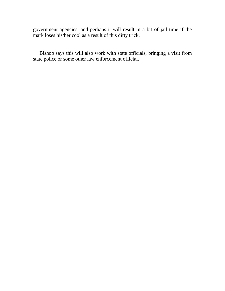government agencies, and perhaps it will result in a bit of jail time if the mark loses his/her cool as a result of this dirty trick.

 Bishop says this will also work with state officials, bringing a visit from state police or some other law enforcement official.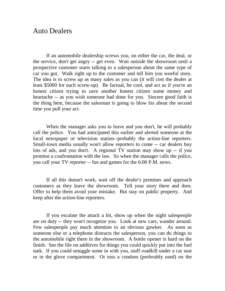#### <span id="page-17-0"></span>Auto Dealers

If an automobile dealership screws you, on either the car, the deal, or the service, don't get angry -- get even. Wait outside the showroom until a prospective customer starts talking to a salesperson about the same type of car you got. Walk right up to the customer and tell him you woeful story. The idea is to screw up as many sales as you can (it will cost the dealer at least \$5000 for each screw-up). Be factual, be cool, and act as if you're an honest citizen trying to save another honest citizen some money and heartache -- as you wish someone had done for you. Sincere good faith is the thing here, because the salesman is going to blow his about the second time you pull your act.

 When the manager asks you to leave and you don't, he will probably call the police. You had anticipated this earlier and alerted someone at the local newspaper or television station--probably the action-line reporters. Small-town media usually won't allow reporters to come -- car dealers buy lots of ads, and you don't. A regional TV station may show up -- if you promise a confrontation with the law. So when the manager calls the police, you call your TV reporter -- fun and games for the 6:00 P.M. news.

 If all this doesn't work, wait off the dealer's premises and approach customers as they leave the showroom. Tell your story there and then. Offer to help them avoid your mistake. But stay on public property. And keep after the action-line reporters.

 If you escalate the attack a bit, show up when the night salespeople are on duty -- they won't recognize you. Look at new cars; wander around. Few salespeople pay much attention to an obvious gawker. As soon as someone else or a telephone distracts the salesperson, you can do things to the automobile right there in the showroom. A bottle opener is hard on the finish. See the file on additives for things you could quickly put into the fuel tank. If you could smuggle some in with you, stuff roadkill under a car seat or in the glove compartment. Or toss a condom (preferably used) on the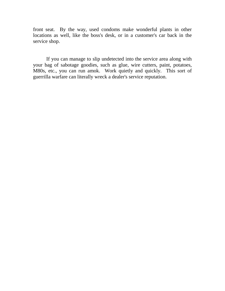front seat. By the way, used condoms make wonderful plants in other locations as well, like the boss's desk, or in a customer's car back in the service shop.

 If you can manage to slip undetected into the service area along with your bag of sabotage goodies, such as glue, wire cutters, paint, potatoes, M80s, etc., you can run amok. Work quietly and quickly. This sort of guerrilla warfare can literally wreck a dealer's service reputation.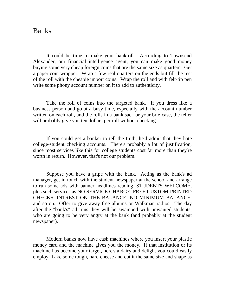### <span id="page-19-0"></span>Banks

It could be time to make your bankroll. According to Townsend Alexander, our financial intelligence agent, you can make good money buying some very cheap foreign coins that are the same size as quarters. Get a paper coin wrapper. Wrap a few real quarters on the ends but fill the rest of the roll with the cheapie import coins. Wrap the roll and with felt-tip pen write some phony account number on it to add to authenticity.

 Take the roll of coins into the targeted bank. If you dress like a business person and go at a busy time, especially with the account number written on each roll, and the rolls in a bank sack or your briefcase, the teller will probably give you ten dollars per roll without checking.

 If you could get a banker to tell the truth, he'd admit that they hate college-student checking accounts. There's probably a lot of justification, since most services like this for college students cost far more than they're worth in return. However, that's not our problem.

 Suppose you have a gripe with the bank. Acting as the bank's ad manager, get in touch with the student newspaper at the school and arrange to run some ads with banner headlines reading, STUDENTS WELCOME, plus such services as NO SERVICE CHARGE, FREE CUSTOM-PRINTED CHECKS, INTREST ON THE BALANCE, NO MINIMUM BALANCE, and so on. Offer to give away free albums or Walkman radios. The day after the "bank's" ad runs they will be swamped with unwanted students, who are going to be very angry at the bank (and probably at the student newspaper).

 Modern banks now have cash machines where you insert your plastic money card and the machine gives you the money. If that institution or its machine has become your target, here's a dairyland delight you could easily employ. Take some tough, hard cheese and cut it the same size and shape as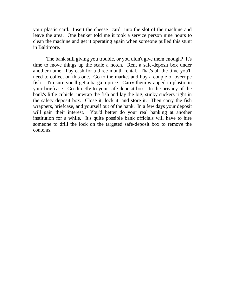your plastic card. Insert the cheese "card" into the slot of the machine and leave the area. One banker told me it took a service person nine hours to clean the machine and get it operating again when someone pulled this stunt in Baltimore.

 The bank still giving you trouble, or you didn't give them enough? It's time to move things up the scale a notch. Rent a safe-deposit box under another name. Pay cash for a three-month rental. That's all the time you'll need to collect on this one. Go to the market and buy a couple of overripe fish -- I'm sure you'll get a bargain price. Carry them wrapped in plastic in your briefcase. Go directly to your safe deposit box. In the privacy of the bank's little cubicle, unwrap the fish and lay the big, stinky suckers right in the safety deposit box. Close it, lock it, and store it. Then carry the fish wrappers, briefcase, and yourself out of the bank. In a few days your deposit will gain their interest. You'd better do your real banking at another institution for a while. It's quite possible bank officials will have to hire someone to drill the lock on the targeted safe-deposit box to remove the contents.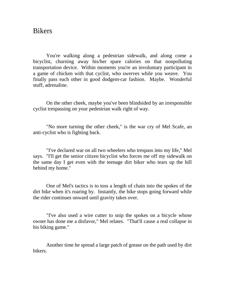#### <span id="page-21-0"></span>Bikers

You're walking along a pedestrian sidewalk, and along come a bicyclist, churning away his/her spare calories on that nonpolluting transportation device. Within moments you're an involuntary participant in a game of chicken with that cyclist, who swerves while you weave. You finally pass each other in good dodgem-car fashion. Maybe. Wonderful stuff, adrenaline.

 On the other cheek, maybe you've been blindsided by an irresponsible cyclist trespassing on your pedestrian walk right of way.

 "No more turning the other cheek," is the war cry of Mel Scafe, an anti-cyclist who is fighting back.

 "I've declared war on all two wheelers who trespass into my life," Mel says. "I'll get the senior citizen bicyclist who forces me off my sidewalk on the same day I get even with the teenage dirt biker who tears up the hill behind my home."

 One of Mel's tactics is to toss a length of chain into the spokes of the dirt bike when it's roaring by. Instantly, the bike stops going forward while the rider continues onward until gravity takes over.

 "I've also used a wire cutter to snip the spokes on a bicycle whose owner has done me a disfavor," Mel relates. "That'll cause a real collapse in his biking game."

 Another time he spread a large patch of grease on the path used by dirt bikers.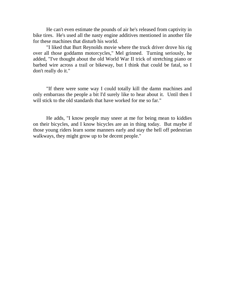He can't even estimate the pounds of air he's released from captivity in bike tires. He's used all the nasty engine additives mentioned in another file for these machines that disturb his world.

 "I liked that Burt Reynolds movie where the truck driver drove his rig over all those goddamn motorcycles," Mel grinned. Turning seriously, he added, "I've thought about the old World War II trick of stretching piano or barbed wire across a trail or bikeway, but I think that could be fatal, so I don't really do it."

 "If there were some way I could totally kill the damn machines and only embarrass the people a bit I'd surely like to hear about it. Until then I will stick to the old standards that have worked for me so far."

 He adds, "I know people may sneer at me for being mean to kiddies on their bicycles, and I know bicycles are an in thing today. But maybe if those young riders learn some manners early and stay the hell off pedestrian walkways, they might grow up to be decent people."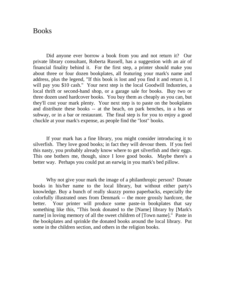#### <span id="page-23-0"></span>Books

Did anyone ever borrow a book from you and not return it? Our private library consultant, Roberta Russell, has a suggestion with an air of financial finality behind it. For the first step, a printer should make you about three or four dozen bookplates, all featuring your mark's name and address, plus the legend, "If this book is lost and you find it and return it, I will pay you \$10 cash." Your next step is the local Goodwill Industries, a local thrift or second-hand shop, or a garage sale for books. Buy two or three dozen used hardcover books. You buy them as cheaply as you can, but they'll cost your mark plenty. Your next step is to paste on the bookplates and distribute these books -- at the beach, on park benches, in a bus or subway, or in a bar or restaurant. The final step is for you to enjoy a good chuckle at your mark's expense, as people find the "lost" books.

 If your mark has a fine library, you might consider introducing it to silverfish. They love good books; in fact they will devour them. If you feel this nasty, you probably already know where to get silverfish and their eggs. This one bothers me, though, since I love good books. Maybe there's a better way. Perhaps you could put an earwig in you mark's bed pillow.

Why not give your mark the image of a philanthropic person? Donate books in his/her name to the local library, but without either party's knowledge. Buy a bunch of really skuzzy porno paperbacks, especially the colorfully illustrated ones from Denmark -- the more grossly hardcore, the better. Your printer will produce some paste-in bookplates that say something like this, "This book donated to the [Name] library by [Mark's name] in loving memory of all the sweet children of [Town name]." Paste in the bookplates and sprinkle the donated books around the local library. Put some in the children section, and others in the religion books.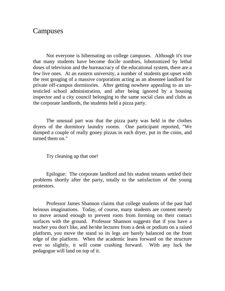#### <span id="page-24-0"></span>Campuses

Not everyone is hibernating on college campuses. Although it's true that many students have become docile zombies, lobotomized by lethal doses of television and the bureaucracy of the educational system, there are a few live ones. At an eastern university, a number of students got upset with the rent gouging of a massive corporation acting as an absentee landlord for private off-campus dormitories. After getting nowhere appealing to an untesticled school administration, and after being ignored by a housing inspector and a city council belonging to the same social class and clubs as the corporate landlords, the students held a pizza party.

 The unusual part was that the pizza party was held in the clothes dryers of the dormitory laundry rooms. One participant reported, "We dumped a couple of really gooey pizzas in each dryer, put in the coins, and turned them on."

Try cleaning up that one!

 Epilogue: The corporate landlord and his student tenants settled their problems shortly after the party, totally to the satisfaction of the young protestors.

 Professor James Shannon claims that college students of the past had heinous imaginations. Today, of course, many students are content merely to move around enough to prevent roots from forming on their contact surfaces with the ground. Professor Shannon suggests that if you have a teacher you don't like, and he/she lectures from a desk or podium on a raised platform, you move the stand so its legs are barely balanced on the front edge of the platform. When the academic leans forward on the structure ever so slightly, it will come crashing forward. With any luck the pedagogue will land on top of it.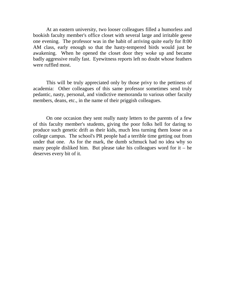At an eastern university, two looser colleagues filled a humorless and bookish faculty member's office closet with several large and irritable geese one evening. The professor was in the habit of arriving quite early for 8:00 AM class, early enough so that the hasty-tempered birds would just be awakening. When he opened the closet door they woke up and became badly aggressive really fast. Eyewitness reports left no doubt whose feathers were ruffled most.

 This will be truly appreciated only by those privy to the pettiness of academia: Other colleagues of this same professor sometimes send truly pedantic, nasty, personal, and vindictive memoranda to various other faculty members, deans, etc., in the name of their priggish colleagues.

 On one occasion they sent really nasty letters to the parents of a few of this faculty member's students, giving the poor folks hell for daring to produce such genetic drift as their kids, much less turning them loose on a college campus. The school's PR people had a terrible time getting out from under that one. As for the mark, the dumb schmuck had no idea why so many people disliked him. But please take his colleagues word for it – he deserves every bit of it.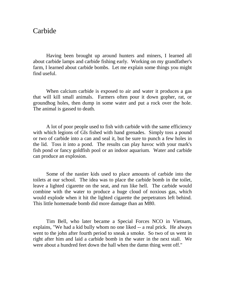#### <span id="page-26-0"></span>Carbide

Having been brought up around hunters and miners, I learned all about carbide lamps and carbide fishing early. Working on my grandfather's farm, I learned about carbide bombs. Let me explain some things you might find useful.

 When calcium carbide is exposed to air and water it produces a gas that will kill small animals. Farmers often pour it down gopher, rat, or groundhog holes, then dump in some water and put a rock over the hole. The animal is gassed to death.

 A lot of poor people used to fish with carbide with the same efficiency with which legions of GIs fished with hand grenades. Simply toss a pound or two of carbide into a can and seal it, but be sure to punch a few holes in the lid. Toss it into a pond. The results can play havoc with your mark's fish pond or fancy goldfish pool or an indoor aquarium. Water and carbide can produce an explosion.

 Some of the nastier kids used to place amounts of carbide into the toilets at our school. The idea was to place the carbide bomb in the toilet, leave a lighted cigarette on the seat, and run like hell. The carbide would combine with the water to produce a huge cloud of noxious gas, which would explode when it hit the lighted cigarette the perpetrators left behind. This little homemade bomb did more damage than an M80.

 Tim Bell, who later became a Special Forces NCO in Vietnam, explains, "We had a kid bully whom no one liked -- a real prick. He always went to the john after fourth period to sneak a smoke. So two of us went in right after him and laid a carbide bomb in the water in the next stall. We were about a hundred feet down the hall when the damn thing went off."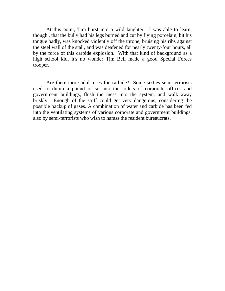At this point, Tim burst into a wild laughter. I was able to learn, though , that the bully had his legs burned and cut by flying porcelain, bit his tongue badly, was knocked violently off the throne, bruising his ribs against the steel wall of the stall, and was deafened for nearly twenty-four hours, all by the force of this carbide explosion. With that kind of background as a high school kid, it's no wonder Tim Bell made a good Special Forces trooper.

 Are there more adult uses for carbide? Some sixties semi-terrorists used to dump a pound or so into the toilets of corporate offices and government buildings, flush the mess into the system, and walk away briskly. Enough of the stuff could get very dangerous, considering the possible backup of gases. A combination of water and carbide has been fed into the ventilating systems of various corporate and government buildings, also by semi-terrorists who wish to harass the resident bureaucrats.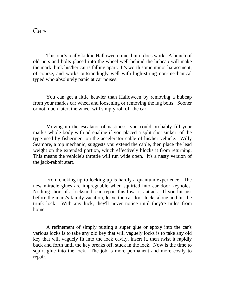#### <span id="page-28-0"></span>Cars

This one's really kiddie Halloween time, but it does work. A bunch of old nuts and bolts placed into the wheel well behind the hubcap will make the mark think his/her car is falling apart. It's worth some minor harassment, of course, and works outstandingly well with high-strung non-mechanical typed who absolutely panic at car noises.

 You can get a little heavier than Halloween by removing a hubcap from your mark's car wheel and loosening or removing the lug bolts. Sooner or not much later, the wheel will simply roll off the car.

 Moving up the escalator of nastiness, you could probably fill your mark's whole body with adrenaline if you placed a split shot sinker, of the type used by fishermen, on the accelerator cable of his/her vehicle. Willy Seamore, a top mechanic, suggests you extend the cable, then place the lead weight on the extended portion, which effectively blocks it from returning. This means the vehicle's throttle will run wide open. It's a nasty version of the jack-rabbit start.

 From choking up to locking up is hardly a quantum experience. The new miracle glues are impregnable when squirted into car door keyholes. Nothing short of a locksmith can repair this low-risk attack. If you hit just before the mark's family vacation, leave the car door locks alone and hit the trunk lock. With any luck, they'll never notice until they're miles from home.

 A refinement of simply putting a super glue or epoxy into the car's various locks is to take any old key that will vaguely locks is to take any old key that will vaguely fit into the lock cavity, insert it, then twist it rapidly back and forth until the key breaks off, stuck in the lock. Now is the time to squirt glue into the lock. The job is more permanent and more costly to repair.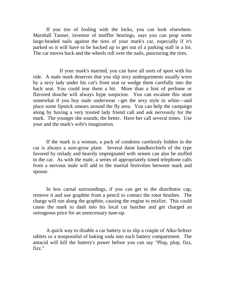If you tire of fooling with the locks, you can look elsewhere. Marshall Tanner, inventor of muffler bearings, says you can prop some large-headed nails against the tires of your mark's car, especially if it's parked so it will have to be backed up to get out of a parking stall in a lot. The car moves back and the wheels roll over the nails, puncturing the tires.

 If your mark's married, you can have all sorts of sport with his ride. A male mark deserves that you slip sexy undergarments usually worn by a sexy lady under his car's front seat or wedge them carefully into the back seat. You could tear them a bit. More than a hint of perfume or flavored douche will always hype suspicion. You can escalate this stunt somewhat if you buy male underwear --get the sexy style in white—and place some lipstick smears around the fly area. You can help the campaign along by having a very trusted lady friend call and ask nervously for the mark. The younger she sounds, the better. Have her call several times. Use your and the mark's wife's imagination.

 If the mark is a woman, a pack of condoms carelessly hidden in the car is always a sure-grow plant. Several daint handkerchiefs of the type favored by milady and heavily impregnated with semen can also be stuffed in the car. As with the male, a series of appropriately timed telephone calls from a nervous male will add to the marital festivities between mark and spouse.

 In less carnal surroundings, if you can get to the distributor cap, remove it and use graphite from a pencil to contact the rotor brushes. The charge will run along the graphite, causing the engine to misfire. This could cause the mark to dash into his local car butcher and get charged an outrageous price for an unnecessary tune-up.

 A quick way to disable a car battery is to slip a couple of Alka-Seltzer tablets or a teaspoonful of baking soda into each battery compartment. The antacid will kill the battery's power before you can say "Plop, plop, fizz, fizz."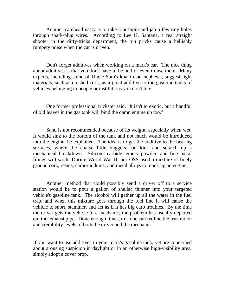Another camhead nasty is to take a pushpin and jab a few tiny holes through spark-plug wires. According to Lee H. Santana, a real straight shooter in the dirty-tricks department, the pin pricks cause a hellishly rumpety noise when the car is driven.

 Don't forget additives when working on a mark's car. The nice thing about additives is that you don't have to be odd or even to use them. Many experts, including some of Uncle Sam's khaki-clad nephews, suggest light materials, such as crushed cork, as a great additive to the gasoline tanks of vehicles belonging to people or institutions you don't like.

 One former professional trickster said, "It isn't to exotic, but a handful of old leaves in the gas tank will bind the damn engine up too."

 Sand is not recommended because of its weight, especially when wet. It would sink to the bottom of the tank and not much would be introduced into the engine, he explained. The idea is to get the additive to the bearing surfaces, where the coarse little buggers can kick and scratch up a mechanical breakdown. Silicone carbide, emery powder, and fine metal filings will work. During World War II, our OSS used a mixture of finely ground cork, resins, carborundums, and metal alloys to muck up an engine.

 Another method that could possibly send a driver off to a service station would be to pour a gallon of shellac thinner into your targeted vehicle's gasoline tank. The alcohol will gather up all the water in the fuel trap, and when this mixture goes through the fuel line it will cause the vehicle to snort, stammer, and act as if it has big carb troubles. By the time the driver gets the vehicle to a mechanic, the problem has usually departed out the exhaust pipe. Done enough times, this one can redline the frustration and credibility levels of both the driver and the mechanic.

If you want to use additives in your mark's gasoline tank, yet are concerned about arousing suspicion in daylight or in an otherwise high-visibility area, simply adopt a cover prop.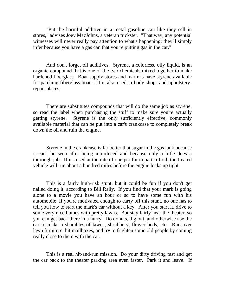"Put the harmful additive in a metal gasoline can like they sell in stores," advises Joey MacJohns, a veteran trickster. "That way, any potential witnesses will never really pay attention to what's happening; they'll simply infer because you have a gas can that you're putting gas in the car."

 And don't forget oil additives. Styrene, a colorless, oily liquid, is an organic compound that is one of the two chemicals mixed together to make hardened fiberglass. Boat-supply stores and marinas have styrene available for patching fiberglass boats. It is also used in body shops and upholsteryrepair places.

 There are substitutes compounds that will do the same job as styrene, so read the label when purchasing the stuff to make sure you're actually getting styrene. Styrene is the only sufficiently effective, commonly available material that can be put into a car's crankcase to completely break down the oil and ruin the engine.

 Styrene in the crankcase is far better that sugar in the gas tank because it can't be seen after being introduced and because only a little does a thorough job. If it's used at the rate of one per four quarts of oil, the treated vehicle will run about a hundred miles before the engine locks up tight.

 This is a fairly high-risk stunt, but it could be fun if you don't get nailed doing it, according to Bill Rally. If you find that your mark is going alone to a movie you have an hour or so to have some fun with his automobile. If you're motivated enough to carry off this stunt, no one has to tell you how to start the mark's car without a key. After you start it, drive to some very nice homes with pretty lawns. But stay fairly near the theater, so you can get back there in a hurry. Do donuts, dig out, and otherwise use the car to make a shambles of lawns, shrubbery, flower beds, etc. Run over lawn furniture, hit mailboxes, and try to frighten some old people by coming really close to them with the car.

 This is a real hit-and-run mission. Do your dirty driving fast and get the car back to the theater parking area even faster. Park it and leave. If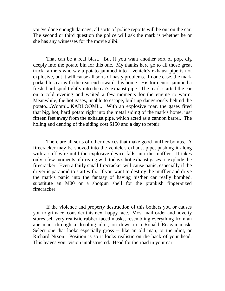you've done enough damage, all sorts of police reports will be out on the car. The second or third question the police will ask the mark is whether he or she has any witnesses for the movie alibi.

 That can be a real blast. But if you want another sort of pop, dig deeply into the potato bin for this one. My thanks here go to all those great truck farmers who say a potato jammed into a vehicle's exhaust pipe is not explosive, but it will cause all sorts of nasty problems. In one case, the mark parked his car with the rear end towards his home. His tormentor jammed a fresh, hard spud tightly into the car's exhaust pipe. The mark started the car on a cold evening and waited a few moments for the engine to warm. Meanwhile, the hot gases, unable to escape, built up dangerously behind the potato....Woom!...KABLOOM!... With an explosive roar, the gases fired that big, hot, hard potato right into the metal siding of the mark's home, just fifteen feet away from the exhaust pipe, which acted as a cannon barrel. The holing and denting of the siding cost \$150 and a day to repair.

 There are all sorts of other devices that make good muffler bombs. A firecracker may be shoved into the vehicle's exhaust pipe, pushing it along with a stiff wire until the explosive device falls into the muffler. It takes only a few moments of driving with today's hot exhaust gases to explode the firecracker. Even a fairly small firecracker will cause panic, especially if the driver is paranoid to start with. If you want to destroy the muffler and drive the mark's panic into the fantasy of having his/her car really bombed, substitute an M80 or a shotgun shell for the prankish finger-sized firecracker.

 If the violence and property destruction of this bothers you or causes you to grimace, consider this next happy face. Most mail-order and novelty stores sell very realistic rubber-faced masks, resembling everything from an ape man, through a drooling idiot, on down to a Ronald Reagan mask. Select one that looks especially gross -- like an old man, or the idiot, or Richard Nixon. Position is so it looks realistic on the back of your head. This leaves your vision unobstructed. Head for the road in your car.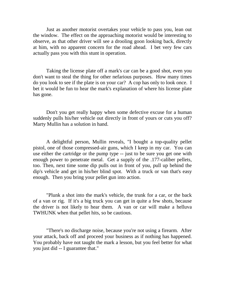Just as another motorist overtakes your vehicle to pass you, lean out the window. The effect on the approaching motorist would be interesting to observe, as that other driver will see a drooling goon looking back, directly at him, with no apparent concern for the road ahead. I bet very few cars actually pass you with this stunt in operation.

 Taking the license plate off a mark's car can be a good shot, even you don't want to steal the thing for other nefarious purposes. How many times do you look to see if the plate is on your car? A cop has only to look once. I bet it would be fun to hear the mark's explanation of where his license plate has gone.

 Don't you get really happy when some defective excuse for a human suddenly pulls his/her vehicle out directly in front of yours or cuts you off? Marty Mullin has a solution in hand.

 A delightful person, Mullin reveals, "I bought a top-quality pellet pistol, one of those compressed-air guns, which I keep in my car. You can use either the cartridge or the pump type -- just to be sure you get one with enough power to penetrate metal. Get a supply of the .177-caliber pellets, too. Then, next time some dip pulls out in front of you, pull up behind the dip's vehicle and get in his/her blind spot. With a truck or van that's easy enough. Then you bring your pellet gun into action.

 "Plunk a shot into the mark's vehicle, the trunk for a car, or the back of a van or rig. If it's a big truck you can get in quite a few shots, because the driver is not likely to hear them. A van or car will make a helluva TWHUNK when that pellet hits, so be cautious.

 "There's no discharge noise, because you're not using a firearm. After your attack, back off and proceed your business as if nothing has happened. You probably have not taught the mark a lesson, but you feel better for what you just did -- I guarantee that."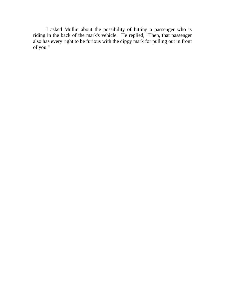I asked Mullin about the possibility of hitting a passenger who is riding in the back of the mark's vehicle. He replied, "Then, that passenger also has every right to be furious with the dippy mark for pulling out in front of you."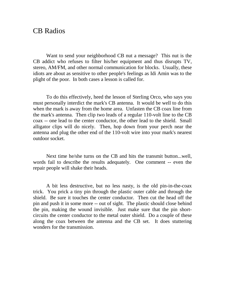#### <span id="page-35-0"></span>CB Radios

Want to send your neighborhood CB nut a message? This nut is the CB addict who refuses to filter his/her equipment and thus disrupts TV, stereo, AM/FM, and other normal communication for blocks. Usually, these idiots are about as sensitive to other people's feelings as Idi Amin was to the plight of the poor. In both cases a lesson is called for.

 To do this effectively, heed the lesson of Sterling Orco, who says you must personally interdict the mark's CB antenna. It would be well to do this when the mark is away from the home area. Unfasten the CB coax line from the mark's antenna. Then clip two leads of a regular 110-volt line to the CB coax -- one lead to the center conductor, the other lead to the shield. Small alligator clips will do nicely. Then, hop down from your perch near the antenna and plug the other end of the 110-volt wire into your mark's nearest outdoor socket.

 Next time he/she turns on the CB and hits the transmit button...well, words fail to describe the results adequately. One comment -- even the repair people will shake their heads.

 A bit less destructive, but no less nasty, is the old pin-in-the-coax trick. You prick a tiny pin through the plastic outer cable and through the shield. Be sure it touches the center conductor. Then cut the head off the pin and push it in some more -- out of sight. The plastic should close behind the pin, making the wound invisible. Just make sure that the pin shortcircuits the center conductor to the metal outer shield. Do a couple of these along the coax between the antenna and the CB set. It does stuttering wonders for the transmission.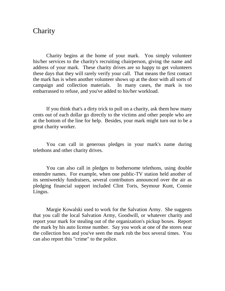## **Charity**

Charity begins at the home of your mark. You simply volunteer his/her services to the charity's recruiting chairperson, giving the name and address of your mark. These charity drives are so happy to get volunteers these days that they will rarely verify your call. That means the first contact the mark has is when another volunteer shows up at the door with all sorts of campaign and collection materials. In many cases, the mark is too embarrassed to refuse, and you've added to his/her workload.

 If you think that's a dirty trick to pull on a charity, ask them how many cents out of each dollar go directly to the victims and other people who are at the bottom of the line for help. Besides, your mark might turn out to be a great charity worker.

 You can call in generous pledges in your mark's name during telethons and other charity drives.

 You can also call in pledges to bothersome telethons, using double entendre names. For example, when one public-TV station held another of its semiweekly fundraisers, several contributors announced over the air as pledging financial support included Clint Toris, Seymour Kunt, Connie Lingus.

 Margie Kowalski used to work for the Salvation Army. She suggests that you call the local Salvation Army, Goodwill, or whatever charity and report your mark for stealing out of the organization's pickup boxes. Report the mark by his auto license number. Say you work at one of the stores near the collection box and you've seen the mark rob the box several times. You can also report this "crime" to the police.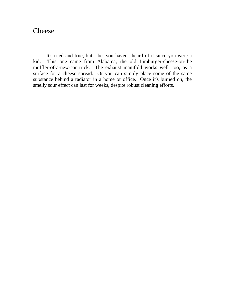## Cheese

It's tried and true, but I bet you haven't heard of it since you were a kid. This one came from Alabama, the old Limburger-cheese-on-the muffler-of-a-new-car trick. The exhaust manifold works well, too, as a surface for a cheese spread. Or you can simply place some of the same substance behind a radiator in a home or office. Once it's burned on, the smelly sour effect can last for weeks, despite robust cleaning efforts.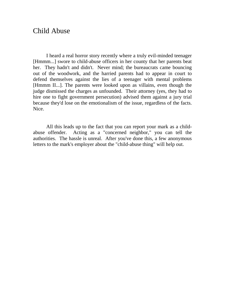### Child Abuse

I heard a real horror story recently where a truly evil-minded teenager [Hmmm...] swore to child-abuse officers in her county that her parents beat her. They hadn't and didn't. Never mind; the bureaucrats came bouncing out of the woodwork, and the harried parents had to appear in court to defend themselves against the lies of a teenager with mental problems [Hmmm II...]. The parents were looked upon as villains, even though the judge dismissed the charges as unfounded. Their attorney (yes, they had to hire one to fight government persecution) advised them against a jury trial because they'd lose on the emotionalism of the issue, regardless of the facts. Nice.

 All this leads up to the fact that you can report your mark as a childabuse offender. Acting as a "concerned neighbor," you can tell the authorities. The hassle is unreal. After you've done this, a few anonymous letters to the mark's employer about the "child-abuse thing" will help out.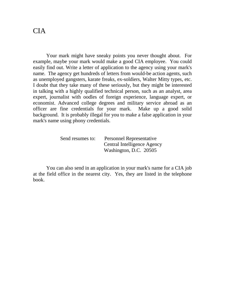# CIA

Your mark might have sneaky points you never thought about. For example, maybe your mark would make a good CIA employee. You could easily find out. Write a letter of application to the agency using your mark's name. The agency get hundreds of letters from would-be action agents, such as unemployed gangsters, karate freaks, ex-soldiers, Walter Mitty types, etc. I doubt that they take many of these seriously, but they might be interested in talking with a highly qualified technical person, such as an analyst, area expert, journalist with oodles of foreign experience, language expert, or economist. Advanced college degrees and military service abroad as an officer are fine credentials for your mark. Make up a good solid background. It is probably illegal for you to make a false application in your mark's name using phony credentials.

| Send resumes to: | <b>Personnel Representative</b>    |
|------------------|------------------------------------|
|                  | <b>Central Intelligence Agency</b> |
|                  | Washington, D.C. 20505             |

 You can also send in an application in your mark's name for a CIA job at the field office in the nearest city. Yes, they are listed in the telephone book.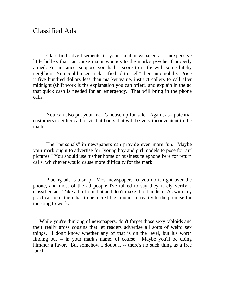## Classified Ads

Classified advertisements in your local newspaper are inexpensive little bullets that can cause major wounds to the mark's psyche if properly aimed. For instance, suppose you had a score to settle with some bitchy neighbors. You could insert a classified ad to "sell" their automobile. Price it five hundred dollars less than market value, instruct callers to call after midnight (shift work is the explanation you can offer), and explain in the ad that quick cash is needed for an emergency. That will bring in the phone calls.

 You can also put your mark's house up for sale. Again, ask potential customers to either call or visit at hours that will be very inconvenient to the mark.

 The "personals" in newspapers can provide even more fun. Maybe your mark ought to advertise for "young boy and girl models to pose for 'art' pictures." You should use his/her home or business telephone here for return calls, whichever would cause more difficulty for the mark.

 Placing ads is a snap. Most newspapers let you do it right over the phone, and most of the ad people I've talked to say they rarely verify a classified ad. Take a tip from that and don't make it outlandish. As with any practical joke, there has to be a credible amount of reality to the premise for the sting to work.

 While you're thinking of newspapers, don't forget those sexy tabloids and their really gross cousins that let readers advertise all sorts of weird sex things. I don't know whether any of that is on the level, but it's worth finding out -- in your mark's name, of course. Maybe you'll be doing him/her a favor. But somehow I doubt it -- there's no such thing as a free lunch.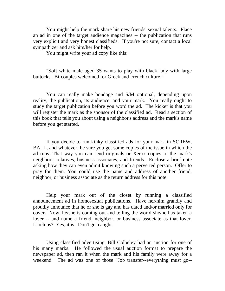You might help the mark share his new friends' sexual talents. Place an ad in one of the target audience magazines -- the publication that runs very explicit and very honest classifieds. If you're not sure, contact a local sympathizer and ask him/her for help.

You might write your ad copy like this:

 "Soft white male aged 35 wants to play with black lady with large buttocks. Bi-couples welcomed for Greek and French culture."

 You can really make bondage and S/M optional, depending upon reality, the publication, its audience, and your mark. You really ought to study the target publication before you word the ad. The kicker is that you will register the mark as the sponsor of the classified ad. Read a section of this book that tells you about using a neighbor's address and the mark's name before you get started.

 If you decide to run kinky classified ads for your mark in SCREW, BALL, and whatever, be sure you get some copies of the issue in which the ad runs. That way you can send originals or Xerox copies to the mark's neighbors, relatives, business associates, and friends. Enclose a brief note asking how they can even admit knowing such a perverted person. Offer to pray for them. You could use the name and address of another friend, neighbor, or business associate as the return address for this note.

 Help your mark out of the closet by running a classified announcement ad in homosexual publications. Have her/him grandly and proudly announce that he or she is gay and has dated and/or married only for cover. Now, he/she is coming out and telling the world she/he has taken a lover -- and name a friend, neighbor, or business associate as that lover. Libelous? Yes, it is. Don't get caught.

 Using classified advertising, Bill Colbeley had an auction for one of his many marks. He followed the usual auction format to prepare the newspaper ad, then ran it when the mark and his family were away for a weekend. The ad was one of those "Job transfer--everything must go--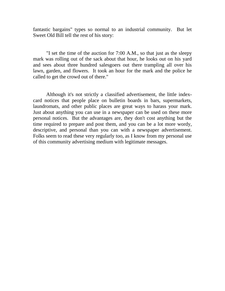fantastic bargains" types so normal to an industrial community. But let Sweet Old Bill tell the rest of his story:

 "I set the time of the auction for 7:00 A.M., so that just as the sleepy mark was rolling out of the sack about that hour, he looks out on his yard and sees about three hundred salesgoers out there trampling all over his lawn, garden, and flowers. It took an hour for the mark and the police he called to get the crowd out of there."

 Although it's not strictly a classified advertisement, the little indexcard notices that people place on bulletin boards in bars, supermarkets, laundromats, and other public places are great ways to harass your mark. Just about anything you can use in a newspaper can be used on these more personal notices. But the advantages are, they don't cost anything but the time required to prepare and post them, and you can be a lot more wordy, descriptive, and personal than you can with a newspaper advertisement. Folks seem to read these very regularly too, as I know from my personal use of this community advertising medium with legitimate messages.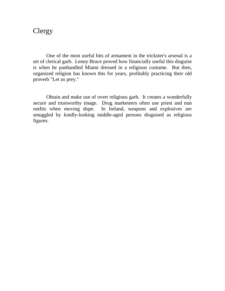## Clergy

One of the most useful bits of armament in the trickster's arsenal is a set of clerical garb. Lenny Bruce proved how financially useful this disguise is when he panhandled Miami dressed in a religious costume. But then, organized religion has known this for years, profitably practicing their old proverb "Let us prey."

 Obtain and make use of overt religious garb. It creates a wonderfully secure and trustworthy image. Drug marketeers often use priest and nun outfits when moving dope. In Ireland, weapons and explosives are smuggled by kindly-looking middle-aged persons disguised as religious figures.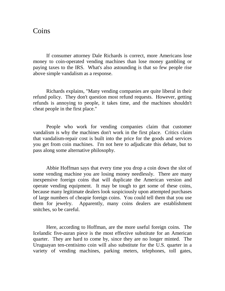## **Coins**

If consumer attorney Dale Richards is correct, more Americans lose money to coin-operated vending machines than lose money gambling or paying taxes to the IRS. What's also astounding is that so few people rise above simple vandalism as a response.

 Richards explains, "Many vending companies are quite liberal in their refund policy. They don't question most refund requests. However, getting refunds is annoying to people, it takes time, and the machines shouldn't cheat people in the first place."

 People who work for vending companies claim that customer vandalism is why the machines don't work in the first place. Critics claim that vandalism-repair cost is built into the price for the goods and services you get from coin machines. I'm not here to adjudicate this debate, but to pass along some alternative philosophy.

 Abbie Hoffman says that every time you drop a coin down the slot of some vending machine you are losing money needlessly. There are many inexpensive foreign coins that will duplicate the American version and operate vending equipment. It may be tough to get some of these coins, because many legitimate dealers look suspiciously upon attempted purchases of large numbers of cheapie foreign coins. You could tell them that you use them for jewelry. Apparently, many coins dealers are establishment snitches, so be careful.

 Here, according to Hoffman, are the more useful foreign coins. The Icelandic five-auran piece is the most effective substitute for an American quarter. They are hard to come by, since they are no longer minted. The Uruguayan ten-centisimo coin will also substitute for the U.S. quarter in a variety of vending machines, parking meters, telephones, toll gates,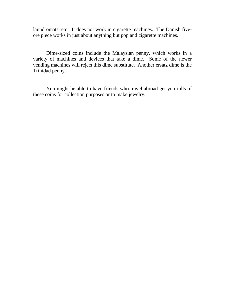laundromats, etc. It does not work in cigarette machines. The Danish fiveore piece works in just about anything but pop and cigarette machines.

 Dime-sized coins include the Malaysian penny, which works in a variety of machines and devices that take a dime. Some of the newer vending machines will reject this dime substitute. Another ersatz dime is the Trinidad penny.

 You might be able to have friends who travel abroad get you rolls of these coins for collection purposes or to make jewelry.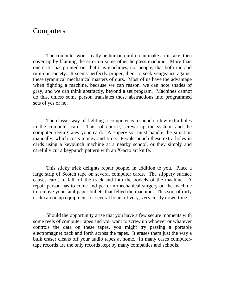### **Computers**

The computer won't really be human until it can make a mistake, then cover up by blaming the error on some other helpless machine. More than one critic has pointed out that it is machines, not people, that both run and ruin our society. It seems perfectly proper, then, to seek vengeance against these tyrannical mechanical masters of ours. Most of us have the advantage when fighting a machine, because we can reason, we can note shades of gray, and we can think abstractly, beyond a set program. Machines cannot do this, unless some person translates these abstractions into programmed sets of yes or no.

 The classic way of fighting a computer is to punch a few extra holes in the computer card. This, of course, screws up the system, and the computer regurgitates your card. A supervisor must handle the situation manually, which costs money and time. People punch these extra holes in cards using a keypunch machine at a nearby school, or they simply and carefully cut a keypunch pattern with an X-acto art knife.

 This sticky trick delights repair people, in addition to you. Place a large strip of Scotch tape on several computer cards. The slippery surface causes cards to fall off the track and into the bowels of the machine. A repair person has to come and perform mechanical surgery on the machine to remove your fatal paper bullets that felled the machine. This sort of dirty trick can tie up equipment for several hours of very, very costly down time.

 Should the opportunity arise that you have a few secure moments with some reels of computer tapes and you want to screw up whoever or whatever controls the data on these tapes, you might try passing a portable electromagnet back and forth across the tapes. It erases them just the way a bulk eraser cleans off your audio tapes at home. In many cases computertape records are the only records kept by many companies and schools.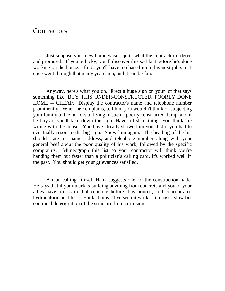#### **Contractors**

Just suppose your new home wasn't quite what the contractor ordered and promised. If you're lucky, you'll discover this sad fact before he's done working on the house. If not, you'll have to chase him to his next job site. I once went through that many years ago, and it can be fun.

 Anyway, here's what you do. Erect a huge sign on your lot that says something like, BUY THIS UNDER-CONSTRUCTED, POORLY DONE HOME -- CHEAP. Display the contractor's name and telephone number prominently. When he complains, tell him you wouldn't think of subjecting your family to the horrors of living in such a poorly constructed dump, and if he buys it you'll take down the sign. Have a list of things you think are wrong with the house. You have already shown him your list if you had to eventually resort to the big sign. Show him again. The heading of the list should state his name, address, and telephone number along with your general beef about the poor quality of his work, followed by the specific complaints. Mimeograph this list so your contractor will think you're handing them out faster than a politician's calling card. It's worked well in the past. You should get your grievances satisfied.

 A man calling himself Hank suggests one for the construction trade. He says that if your mark is building anything from concrete and you or your allies have access to that concrete before it is poured, add concentrated hydrochloric acid to it. Hank claims, "I've seen it work -- it causes slow but continual deterioration of the structure from corrosion."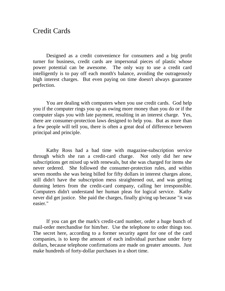## Credit Cards

Designed as a credit convenience for consumers and a big profit turner for business, credit cards are impersonal pieces of plastic whose power potential can be awesome. The only way to use a credit card intelligently is to pay off each month's balance, avoiding the outrageously high interest charges. But even paying on time doesn't always guarantee perfection.

 You are dealing with computers when you use credit cards. God help you if the computer rings you up as owing more money than you do or if the computer slaps you with late payment, resulting in an interest charge. Yes, there are consumer-protection laws designed to help you. But as more than a few people will tell you, there is often a great deal of difference between principal and principle.

 Kathy Ross had a bad time with magazine-subscription service through which she ran a credit-card charge. Not only did her new subscriptions get mixed up with renewals, but she was charged for items she never ordered. She followed the consumer-protection rules, and within seven months she was being billed for fifty dollars in interest charges alone, still didn't have the subscription mess straightened out, and was getting dunning letters from the credit-card company, calling her irresponsible. Computers didn't understand her human pleas for logical service. Kathy never did get justice. She paid the charges, finally giving up because "it was easier."

 If you can get the mark's credit-card number, order a huge bunch of mail-order merchandise for him/her. Use the telephone to order things too. The secret here, according to a former security agent for one of the card companies, is to keep the amount of each individual purchase under forty dollars, because telephone confirmations are made on greater amounts. Just make hundreds of forty-dollar purchases in a short time.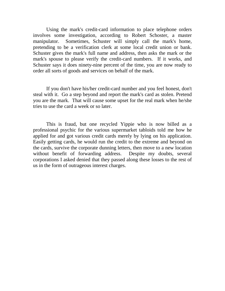Using the mark's credit-card information to place telephone orders involves some investigation, according to Robert Schoster, a master manipulator. Sometimes, Schuster will simply call the mark's home, pretending to be a verification clerk at some local credit union or bank. Schuster gives the mark's full name and address, then asks the mark or the mark's spouse to please verify the credit-card numbers. If it works, and Schuster says it does ninety-nine percent of the time, you are now ready to order all sorts of goods and services on behalf of the mark.

 If you don't have his/her credit-card number and you feel honest, don't steal with it. Go a step beyond and report the mark's card as stolen. Pretend you are the mark. That will cause some upset for the real mark when he/she tries to use the card a week or so later.

 This is fraud, but one recycled Yippie who is now billed as a professional psychic for the various supermarket tabloids told me how he applied for and got various credit cards merely by lying on his application. Easily getting cards, he would run the credit to the extreme and beyond on the cards, survive the corporate dunning letters, then move to a new location without benefit of forwarding address. Despite my doubts, several corporations I asked denied that they passed along these losses to the rest of us in the form of outrageous interest charges.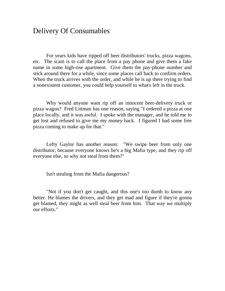## Delivery Of Consumables

For years kids have ripped off beer distributors' trucks, pizza wagons, etc. The scam is to call the place from a pay phone and give them a fake name in some high-rise apartment. Give them the pay-phone number and stick around there for a while, since some places call back to confirm orders. When the truck arrives with the order, and while he is up there trying to find a nonexistent customer, you could help yourself to what's left in the truck.

 Why would anyone want rip off an innocent beer-delivery truck or pizza wagon? Fred Littman has one reason, saying "I ordered a pizza at one place locally, and it was awful. I spoke with the manager, and he told me to get lost and refused to give me my money back. I figured I had some free pizza coming to make up for that."

 Lefty Gaylor has another reason: "We swipe beer from only one distributor, because everyone knows he's a big Mafia type, and they rip off everyone else, so why not steal from them?"

Isn't stealing from the Mafia dangerous?

 "Not if you don't get caught, and this one's too dumb to know any better. He blames the drivers, and they get mad and figure if they're gonna get blamed, they might as well steal beer from him. That way we multiply our efforts."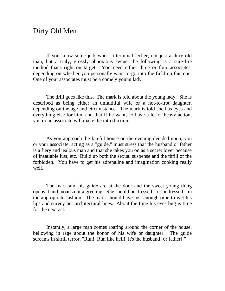## Dirty Old Men

If you know some jerk who's a terminal lecher, not just a dirty old man, but a truly, grossly obnoxious swine, the following is a sure-fire method that's right on target. You need either three or four associates, depending on whether you personally want to go into the field on this one. One of your associates must be a comely young lady.

 The drill goes like this. The mark is told about the young lady. She is described as being either an unfaithful wife or a hot-to-trot daughter, depending on the age and circumstance. The mark is told she has eyes and everything else for him, and that if he wants to have a lot of heavy action, you or an associate will make the introduction.

 As you approach the fateful house on the evening decided upon, you or your associate, acting as a "guide," must stress that the husband or father is a fiery and jealous man and that she takes you on as a secret lover because of insatiable lust, etc. Build up both the sexual suspense and the thrill of the forbidden. You have to get his adrenaline and imagination cooking really well.

 The mark and his guide are at the door and the sweet young thing opens it and moans out a greeting. She should be dressed --or undressed-- in the appropriate fashion. The mark should have just enough time to wet his lips and survey her architectural lines. About the time his eyes bug is time for the next act.

 Instantly, a large man comes roaring around the corner of the house, bellowing in rage about the honor of his wife or daughter. The guide screams in shrill terror, "Run! Run like hell! It's the husband [or father]!"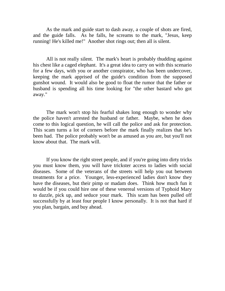As the mark and guide start to dash away, a couple of shots are fired, and the guide falls. As he falls, he screams to the mark, "Jesus, keep running! He's killed me!" Another shot rings out; then all is silent.

 All is not really silent. The mark's heart is probably thudding against his chest like a caged elephant. It's a great idea to carry on with this scenario for a few days, with you or another conspirator, who has been undercover, keeping the mark apprised of the guide's condition from the supposed gunshot wound. It would also be good to float the rumor that the father or husband is spending all his time looking for "the other bastard who got away."

 The mark won't stop his fearful shakes long enough to wonder why the police haven't arrested the husband or father. Maybe, when he does come to this logical question, he will call the police and ask for protection. This scam turns a lot of corners before the mark finally realizes that he's been had. The police probably won't be as amused as you are, but you'll not know about that. The mark will.

 If you know the right street people, and if you're going into dirty tricks you must know them, you will have trickster access to ladies with social diseases. Some of the veterans of the streets will help you out between treatments for a price. Younger, less-experienced ladies don't know they have the diseases, but their pimp or madam does. Think how much fun it would be if you could hire one of these venereal versions of Typhoid Mary to dazzle, pick up, and seduce your mark. This scam has been pulled off successfully by at least four people I know personally. It is not that hard if you plan, bargain, and buy ahead.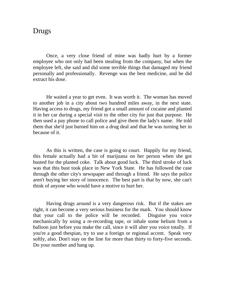### Drugs

Once, a very close friend of mine was badly hurt by a former employee who not only had been stealing from the company, but when the employee left, she said and did some terrible things that damaged my friend personally and professionally. Revenge was the best medicine, and he did extract his dose.

 He waited a year to get even. It was worth it. The woman has moved to another job in a city about two hundred miles away, in the next state. Having access to drugs, my friend got a small amount of cocaine and planted it in her car during a special visit to the other city for just that purpose. He then used a pay phone to call police and give them the lady's name. He told them that she'd just burned him on a drug deal and that he was turning her in because of it.

 As this is written, the case is going to court. Happily for my friend, this female actually had a bit of marijuana on her person when she got busted for the planted coke. Talk about good luck. The third stroke of luck was that this bust took place in New York State. He has followed the case through the other city's newspaper and through a friend. He says the police aren't buying her story of innocence. The best part is that by now, she can't think of anyone who would have a motive to hurt her.

 Having drugs around is a very dangerous risk. But if the stakes are right, it can become a very serious business for the mark. You should know that your call to the police will be recorded. Disguise you voice mechanically by using a re-recording tape, or inhale some helium from a balloon just before you make the call, since it will alter you voice totally. If you're a good thespian, try to use a foreign or regional accent. Speak very softly, also. Don't stay on the line for more than thirty to forty-five seconds. Do your number and hang up.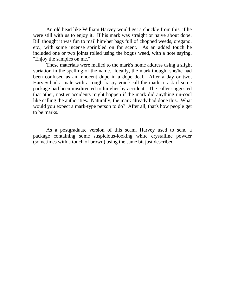An old head like William Harvey would get a chuckle from this, if he were still with us to enjoy it. If his mark was straight or naive about dope, Bill thought it was fun to mail him/her bags full of chopped weeds, oregano, etc., with some incense sprinkled on for scent. As an added touch he included one or two joints rolled using the bogus weed, with a note saying, "Enjoy the samples on me."

 These materials were mailed to the mark's home address using a slight variation in the spelling of the name. Ideally, the mark thought she/he had been confused as an innocent dupe in a dope deal. After a day or two, Harvey had a male with a rough, raspy voice call the mark to ask if some package had been misdirected to him/her by accident. The caller suggested that other, nastier accidents might happen if the mark did anything un-cool like calling the authorities. Naturally, the mark already had done this. What would you expect a mark-type person to do? After all, that's how people get to be marks.

 As a postgraduate version of this scam, Harvey used to send a package containing some suspicious-looking white crystalline powder (sometimes with a touch of brown) using the same bit just described.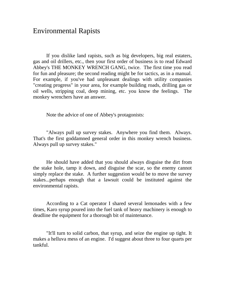## Environmental Rapists

If you dislike land rapists, such as big developers, big real estaters, gas and oil drillers, etc., then your first order of business is to read Edward Abbey's THE MONKEY WRENCH GANG, twice. The first time you read for fun and pleasure; the second reading might be for tactics, as in a manual. For example, if you've had unpleasant dealings with utility companies "creating progress" in your area, for example building roads, drilling gas or oil wells, stripping coal, deep mining, etc. you know the feelings. The monkey wrenchers have an answer.

Note the advice of one of Abbey's protagonists:

 "Always pull up survey stakes. Anywhere you find them. Always. That's the first goddamned general order in this monkey wrench business. Always pull up survey stakes."

 He should have added that you should always disguise the dirt from the stake hole, tamp it down, and disguise the scar, so the enemy cannot simply replace the stake. A further suggestion would be to move the survey stakes...perhaps enough that a lawsuit could be instituted against the environmental rapists.

 According to a Cat operator I shared several lemonades with a few times, Karo syrup poured into the fuel tank of heavy machinery is enough to deadline the equipment for a thorough bit of maintenance.

 "It'll turn to solid carbon, that syrup, and seize the engine up tight. It makes a helluva mess of an engine. I'd suggest about three to four quarts per tankful.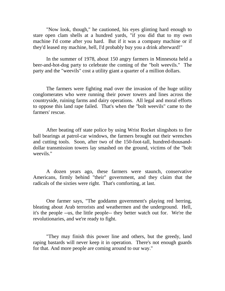"Now look, though," he cautioned, his eyes glinting hard enough to stare open clam shells at a hundred yards, "if you did that to my own machine I'd come after you hard. But if it was a company machine or if they'd leased my machine, hell, I'd probably buy you a drink afterward!"

 In the summer of 1978, about 150 angry farmers in Minnesota held a beer-and-hot-dog party to celebrate the coming of the "bolt weevils." The party and the "weevils" cost a utility giant a quarter of a million dollars.

 The farmers were fighting mad over the invasion of the huge utility conglomerates who were running their power towers and lines across the countryside, ruining farms and dairy operations. All legal and moral efforts to oppose this land rape failed. That's when the "bolt weevils" came to the farmers' rescue.

 After beating off state police by using Wrist Rocket slingshots to fire ball bearings at patrol-car windows, the farmers brought out their wrenches and cutting tools. Soon, after two of the 150-foot-tall, hundred-thousanddollar transmission towers lay smashed on the ground, victims of the "bolt weevils."

 A dozen years ago, these farmers were staunch, conservative Americans, firmly behind "their" government, and they claim that the radicals of the sixties were right. That's comforting, at last.

 One farmer says, "The goddamn government's playing red herring, bleating about Arab terrorists and weathermen and the underground. Hell, it's the people --us, the little people-- they better watch out for. We're the revolutionaries, and we're ready to fight.

 "They may finish this power line and others, but the greedy, land raping bastards will never keep it in operation. There's not enough guards for that. And more people are coming around to our way."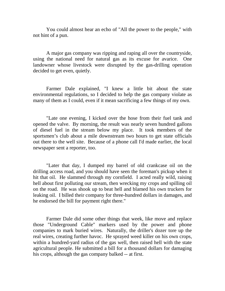You could almost hear an echo of "All the power to the people," with not hint of a pun.

 A major gas company was ripping and raping all over the countryside, using the national need for natural gas as its excuse for avarice. One landowner whose livestock were disrupted by the gas-drilling operation decided to get even, quietly.

 Farmer Dale explained, "I knew a little bit about the state environmental regulations, so I decided to help the gas company violate as many of them as I could, even if it mean sacrificing a few things of my own.

 "Late one evening, I kicked over the hose from their fuel tank and opened the valve. By morning, the result was nearly seven hundred gallons of diesel fuel in the stream below my place. It took members of the sportsmen's club about a mile downstream two hours to get state officials out there to the well site. Because of a phone call I'd made earlier, the local newspaper sent a reporter, too.

 "Later that day, I dumped my barrel of old crankcase oil on the drilling access road, and you should have seen the foreman's pickup when it hit that oil. He slammed through my cornfield. I acted really wild, raising hell about first polluting our stream, then wrecking my crops and spilling oil on the road. He was shook up to beat hell and blamed his own truckers for leaking oil. I billed their company for three-hundred dollars in damages, and he endorsed the bill for payment right there."

 Farmer Dale did some other things that week, like move and replace those "Underground Cable" markers used by the power and phone companies to mark buried wires. Naturally, the driller's dozer tore up the real wires, creating further havoc. He sprayed weed killer on his own crops, within a hundred-yard radius of the gas well, then raised hell with the state agricultural people. He submitted a bill for a thousand dollars for damaging his crops, although the gas company balked -- at first.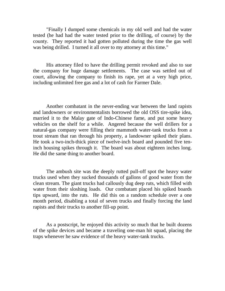"Finally I dumped some chemicals in my old well and had the water tested (he had had the water tested prior to the drilling, of course) by the county. They reported it had gotten polluted during the time the gas well was being drilled. I turned it all over to my attorney at this time."

 His attorney filed to have the drilling permit revoked and also to sue the company for huge damage settlements. The case was settled out of court, allowing the company to finish its rape, yet at a very high price, including unlimited free gas and a lot of cash for Farmer Dale.

 Another combatant in the never-ending war between the land rapists and landowners or environmentalists borrowed the old OSS tire-spike idea, married it to the Malay gate of Indo-Chinese fame, and put some heavy vehicles on the shelf for a while. Angered because the well drillers for a natural-gas company were filling their mammoth water-tank trucks from a trout stream that ran through his property, a landowner spiked their plans. He took a two-inch-thick piece of twelve-inch board and pounded five teninch housing spikes through it. The board was about eighteen inches long. He did the same thing to another board.

 The ambush site was the deeply rutted pull-off spot the heavy water trucks used when they sucked thousands of gallons of good water from the clean stream. The giant trucks had callously dug deep ruts, which filled with water from their sloshing loads. Our combatant placed his spiked boards tips upward, into the ruts. He did this on a random schedule over a one month period, disabling a total of seven trucks and finally forcing the land rapists and their trucks to another fill-up point.

 As a postscript, he enjoyed this activity so much that he built dozens of the spike devices and became a traveling one-man hit squad, placing the traps whenever he saw evidence of the heavy water-tank trucks.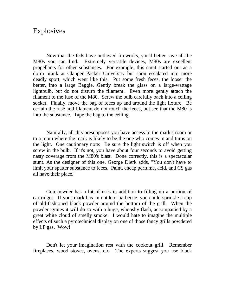#### Explosives

Now that the feds have outlawed fireworks, you'd better save all the M80s you can find. Extremely versatile devices, M80s are excellent propellants for other substances. For example, this stunt started out as a dorm prank at Clapper Packer University but soon escalated into more deadly sport, which went like this. Put some fresh feces, the looser the better, into a large Baggie. Gently break the glass on a large-wattage lightbulb, but do not disturb the filament. Even more gently attach the filament to the fuse of the M80. Screw the bulb carefully back into a ceiling socket. Finally, move the bag of feces up and around the light fixture. Be certain the fuse and filament do not touch the feces, but see that the M80 is into the substance. Tape the bag to the ceiling.

 Naturally, all this presupposes you have access to the mark's room or to a room where the mark is likely to be the one who comes in and turns on the light. One cautionary note: Be sure the light switch is off when you screw in the bulb. If it's not, you have about four seconds to avoid getting nasty coverage from the M80's blast. Done correctly, this is a spectacular stunt. As the designer of this one, George Dierk adds, "You don't have to limit your spatter substance to feces. Paint, cheap perfume, acid, and CS gas all have their place."

 Gun powder has a lot of uses in addition to filling up a portion of cartridges. If your mark has an outdoor barbecue, you could sprinkle a cup of old-fashioned black powder around the bottom of the grill. When the powder ignites it will do so with a huge, whooshy flash, accompanied by a great white cloud of smelly smoke. I would hate to imagine the multiple effects of such a pyrotechnical display on one of those fancy grills powdered by LP gas. Wow!

 Don't let your imagination rest with the cookout grill. Remember fireplaces, wood stoves, ovens, etc. The experts suggest you use black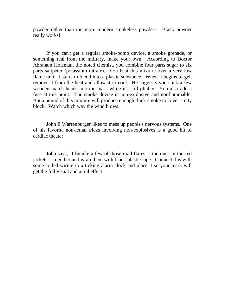powder rather than the more modern smokeless powders. Black powder really works!

 If you can't get a regular smoke-bomb device, a smoke grenade, or something real from the military, make your own. According to Doctor Abraham Hoffman, the noted chemist, you combine four parts sugar to six parts saltpeter (potassium nitrate). You heat this mixture over a very low flame until it starts to blend into a plastic substance. When it begins to gel, remove it from the heat and allow it to cool. He suggests you stick a few wooden match heads into the mass while it's still pliable. You also add a fuse at this point. The smoke device is non-explosive and nonflammable. But a pound of this mixture will produce enough thick smoke to cover a city block. Watch which way the wind blows.

 John E Warrenburger likes to mess up people's nervous systems. One of his favorite non-lethal tricks involving non-explosives is a good bit of cardiac theater.

 John says, "I bundle a few of those road flares -- the ones in the red jackets -- together and wrap them with black plastic tape. Connect this with some coiled wiring to a ticking alarm clock and place it so your mark will get the full visual and aural effect.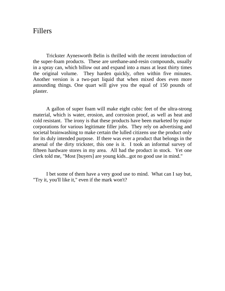### Fillers

Trickster Aynesworth Belin is thrilled with the recent introduction of the super-foam products. These are urethane-and-resin compounds, usually in a spray can, which billow out and expand into a mass at least thirty times the original volume. They harden quickly, often within five minutes. Another version is a two-part liquid that when mixed does even more astounding things. One quart will give you the equal of 150 pounds of plaster.

 A gallon of super foam will make eight cubic feet of the ultra-strong material, which is water, erosion, and corrosion proof, as well as heat and cold resistant. The irony is that these products have been marketed by major corporations for various legitimate filler jobs. They rely on advertising and societal brainwashing to make certain the lulled citizens use the product only for its duly intended purpose. If there was ever a product that belongs in the arsenal of the dirty trickster, this one is it. I took an informal survey of fifteen hardware stores in my area. All had the product in stock. Yet one clerk told me, "Most [buyers] are young kids...got no good use in mind."

 I bet some of them have a very good use to mind. What can I say but, "Try it, you'll like it," even if the mark won't?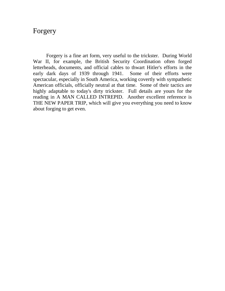## Forgery

Forgery is a fine art form, very useful to the trickster. During World War II, for example, the British Security Coordination often forged letterheads, documents, and official cables to thwart Hitler's efforts in the early dark days of 1939 through 1941. Some of their efforts were spectacular, especially in South America, working covertly with sympathetic American officials, officially neutral at that time. Some of their tactics are highly adaptable to today's dirty trickster. Full details are yours for the reading in A MAN CALLED INTREPID. Another excellent reference is THE NEW PAPER TRIP, which will give you everything you need to know about forging to get even.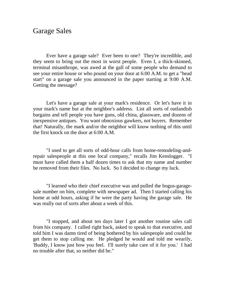### Garage Sales

Ever have a garage sale? Ever been to one? They're incredible, and they seem to bring out the most in worst people. Even I, a thick-skinned, terminal misanthrope, was awed at the gall of some people who demand to see your entire house or who pound on your door at 6:00 A.M. to get a "head start" on a garage sale you announced in the paper starting at 9:00 A.M. Getting the message?

 Let's have a garage sale at your mark's residence. Or let's have it in your mark's name but at the neighbor's address. List all sorts of outlandish bargains and tell people you have guns, old china, glassware, and dozens of inexpensive antiques. You want obnoxious gawkers, not buyers. Remember that! Naturally, the mark and/or the neighbor will know nothing of this until the first knock on the door at 6:00 A.M.

 "I used to get all sorts of odd-hour calls from home-remodeling-andrepair salespeople at this one local company," recalls Jim Kenslogger. "I must have called them a half dozen times to ask that my name and number be removed from their files. No luck. So I decided to change my luck.

 "I learned who their chief executive was and pulled the bogus-garagesale number on him, complete with newspaper ad. Then I started calling his home at odd hours, asking if he were the party having the garage sale. He was really out of sorts after about a week of this.

 "I stopped, and about ten days later I got another routine sales call from his company. I called right back, asked to speak to that executive, and told him I was damn tired of being bothered by his salespeople and could he get them to stop calling me. He pledged he would and told me wearily, 'Buddy, I know just how you feel. I'll surely take care of it for you.' I had no trouble after that, so neither did he."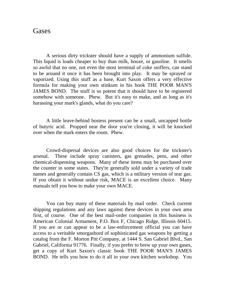#### **Gases**

A serious dirty trickster should have a supply of ammonium sulfide. This liquid is loads cheaper to buy than milk, booze, or gasoline. It smells so awful that no one, not even the most terminal of coke sniffers, can stand to be around it once it has been brought into play. It may be sprayed or vaporized. Using this stuff as a base, Kurt Saxon offers a very effective formula for making your own stinkum in his book THE POOR MAN'S JAMES BOND. The stuff is so potent that it should have to be registered somehow with someone. Phew. But it's easy to make, and as long as it's harassing your mark's glands, what do you care?

 A little leave-behind hostess present can be a small, uncapped bottle of butyric acid. Propped near the door you're closing, it will be knocked over when the mark enters the room. Phew.

 Crowd-dispersal devices are also good choices for the trickster's arsenal. These include spray canisters, gas grenades, pens, and other chemical-dispensing weapons. Many of these items may be purchased over the counter in some states. They're generally sold under a variety of trade names and generally contain CS gas, which is a military version of tear gas. If you obtain it without undue risk, MACE is an excellent choice. Many manuals tell you how to make your own MACE.

 You can buy many of these materials by mail order. Check current shipping regulations and any laws against these devices in your own area first, of course. One of the best mail-order companies in this business is American Colonial Armament, P.O. Box F, Chicago Ridge, Illinois 60415. If you are or can appear to be a law-enforcement official you can have access to a veritable smorgasbord of sophisticated gas weapons by getting a catalog from the F. Morton Pitt Company, at 1444 S. San Gabriel Blvd., San Gabriel, California 91776. Finally, if you prefer to brew up your own gases, get a copy of Kurt Saxon's classic book THE POOR MAN'S JAMES BOND. He tells you how to do it all in your own kitchen workshop. You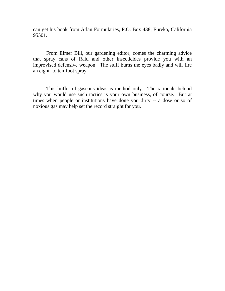can get his book from Atlan Formularies, P.O. Box 438, Eureka, California 95501.

 From Elmer Bill, our gardening editor, comes the charming advice that spray cans of Raid and other insecticides provide you with an improvised defensive weapon. The stuff burns the eyes badly and will fire an eight- to ten-foot spray.

 This buffet of gaseous ideas is method only. The rationale behind why you would use such tactics is your own business, of course. But at times when people or institutions have done you dirty -- a dose or so of noxious gas may help set the record straight for you.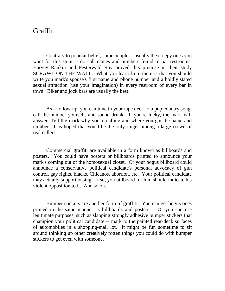## Graffiti

Contrary to popular belief, some people -- usually the creepy ones you want for this stunt -- do call names and numbers found in bar restrooms. Harvey Rankin and Festerwald Ray proved this premise in their study SCRAWL ON THE WALL. What you learn from them is that you should write you mark's spouse's first name and phone number and a boldly stated sexual attraction (use your imagination) in every restroom of every bar in town. Biker and jock bars are usually the best.

 As a follow-up, you can tune in your tape deck to a pop country song, call the number yourself, and sound drunk. If you're lucky, the mark will answer. Tell the mark why you're calling and where you got the name and number. It is hoped that you'll be the only ringer among a large crowd of real callers.

 Commercial graffiti are available in a form known as billboards and posters. You could have posters or billboards printed to announce your mark's coming out of the homosexual closet. Or your bogus billboard could announce a conservative political candidate's personal advocacy of gun control, gay rights, blacks, Chicanos, abortion, etc. Your political candidate may actually support busing. If so, you billboard for him should indicate his violent opposition to it. And so on.

 Bumper stickers are another form of graffiti. You can get bogus ones printed in the same manner as billboards and posters. Or you can use legitimate purposes, such as slapping strongly adhesive bumper stickers that champion your political candidate -- mark to the painted rear-deck surfaces of automobiles in a shopping-mall lot. It might be fun sometime to sit around thinking up other creatively rotten things you could do with bumper stickers to get even with someone.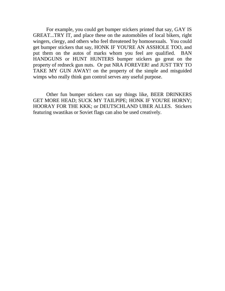For example, you could get bumper stickers printed that say, GAY IS GREAT...TRY IT, and place these on the automobiles of local bikers, right wingers, clergy, and others who feel threatened by homosexuals. You could get bumper stickers that say, HONK IF YOU'RE AN ASSHOLE TOO, and put them on the autos of marks whom you feel are qualified. BAN HANDGUNS or HUNT HUNTERS bumper stickers go great on the property of redneck gun nuts. Or put NRA FOREVER! and JUST TRY TO TAKE MY GUN AWAY! on the property of the simple and misguided wimps who really think gun control serves any useful purpose.

 Other fun bumper stickers can say things like, BEER DRINKERS GET MORE HEAD; SUCK MY TAILPIPE; HONK IF YOU'RE HORNY; HOORAY FOR THE KKK; or DEUTSCHLAND UBER ALLES. Stickers featuring swastikas or Soviet flags can also be used creatively.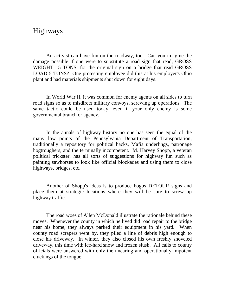## Highways

An activist can have fun on the roadway, too. Can you imagine the damage possible if one were to substitute a road sign that read, GROSS WEIGHT 15 TONS, for the original sign on a bridge that read GROSS LOAD 5 TONS? One protesting employee did this at his employer's Ohio plant and had materials shipments shut down for eight days.

 In World War II, it was common for enemy agents on all sides to turn road signs so as to misdirect military convoys, screwing up operations. The same tactic could be used today, even if your only enemy is some governmental branch or agency.

 In the annals of highway history no one has seen the equal of the many low points of the Pennsylvania Department of Transportation, traditionally a repository for political hacks, Mafia underlings, patronage hogtroughers, and the terminally incompetent. M. Harvey Shopp, a veteran political trickster, has all sorts of suggestions for highway fun such as painting sawhorses to look like official blockades and using them to close highways, bridges, etc.

 Another of Shopp's ideas is to produce bogus DETOUR signs and place them at strategic locations where they will be sure to screw up highway traffic.

 The road woes of Allen McDonald illustrate the rationale behind these moves. Whenever the county in which he lived did road repair to the bridge near his home, they always parked their equipment in his yard. When county road scrapers went by, they piled a line of debris high enough to close his driveway. In winter, they also closed his own freshly shoveled driveway, this time with ice-hard snow and frozen slush. All calls to county officials were answered with only the uncaring and operationally impotent cluckings of the tongue.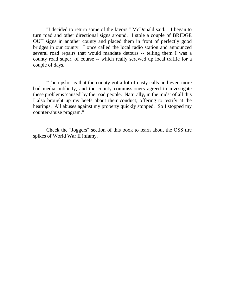"I decided to return some of the favors," McDonald said. "I began to turn road and other directional signs around. I stole a couple of BRIDGE OUT signs in another county and placed them in front of perfectly good bridges in our county. I once called the local radio station and announced several road repairs that would mandate detours -- telling them I was a county road super, of course -- which really screwed up local traffic for a couple of days.

 "The upshot is that the county got a lot of nasty calls and even more bad media publicity, and the county commissioners agreed to investigate these problems 'caused' by the road people. Naturally, in the midst of all this I also brought up my beefs about their conduct, offering to testify at the hearings. All abuses against my property quickly stopped. So I stopped my counter-abuse program."

 Check the "Joggers" section of this book to learn about the OSS tire spikes of World War II infamy.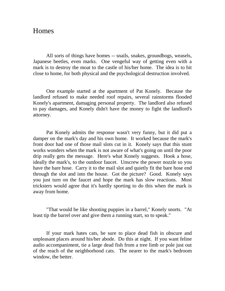#### Homes

All sorts of things have homes -- snails, snakes, groundhogs, weasels, Japanese beetles, even marks. One vengeful way of getting even with a mark is to destroy the moat to the castle of his/her home. The idea is to hit close to home, for both physical and the psychological destruction involved.

 One example started at the apartment of Pat Konely. Because the landlord refused to make needed roof repairs, several rainstorms flooded Konely's apartment, damaging personal property. The landlord also refused to pay damages, and Konely didn't have the money to fight the landlord's attorney.

 Pat Konely admits the response wasn't very funny, but it did put a damper on the mark's day and his own home. It worked because the mark's front door had one of those mail slots cut in it. Konely says that this stunt works wonders when the mark is not aware of what's going on until the poor drip really gets the message. Here's what Konely suggests. Hook a hose, ideally the mark's, to the outdoor faucet. Unscrew the power nozzle so you have the bare hose. Carry it to the mail slot and quietly fit the bare hose end through the slot and into the house. Got the picture? Good. Konely says you just turn on the faucet and hope the mark has slow reactions. Most tricksters would agree that it's hardly sporting to do this when the mark is away from home.

 "That would be like shooting puppies in a barrel," Konely snorts. "At least tip the barrel over and give them a running start, so to speak."

 If your mark hates cats, be sure to place dead fish in obscure and unpleasant places around his/her abode. Do this at night. If you want feline audio accompaniment, tie a large dead fish from a tree limb or pole just out of the reach of the neighborhood cats. The nearer to the mark's bedroom window, the better.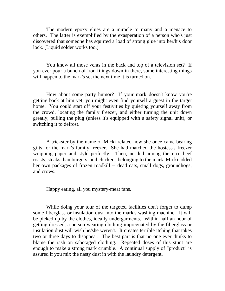The modern epoxy glues are a miracle to many and a menace to others. The latter is exemplified by the exasperation of a person who's just discovered that someone has squirted a load of strong glue into her/his door lock. (Liquid solder works too.)

 You know all those vents in the back and top of a television set? If you ever pour a bunch of iron filings down in there, some interesting things will happen to the mark's set the next time it is turned on.

 How about some party humor? If your mark doesn't know you're getting back at him yet, you might even find yourself a guest in the target home. You could start off your festivities by quieting yourself away from the crowd, locating the family freezer, and either turning the unit down greatly, pulling the plug (unless it's equipped with a safety signal unit), or switching it to defrost.

 A trickster by the name of Micki related how she once came bearing gifts for the mark's family freezer. She had matched the hostess's freezer wrapping paper and style perfectly. Then, nestled among the nice beef roasts, steaks, hamburgers, and chickens belonging to the mark, Micki added her own packages of frozen roadkill -- dead cats, small dogs, groundhogs, and crows.

Happy eating, all you mystery-meat fans.

While doing your tour of the targeted facilities don't forget to dump some fiberglass or insulation dust into the mark's washing machine. It will be picked up by the clothes, ideally undergarments. Within half an hour of getting dressed, a person wearing clothing impregnated by the fiberglass or insulation dust will wish he/she weren't. It creates terrible itching that takes two or three days to disappear. The best part is that no one ever thinks to blame the rash on sabotaged clothing. Repeated doses of this stunt are enough to make a strong mark crumble. A continual supply of "product" is assured if you mix the nasty dust in with the laundry detergent.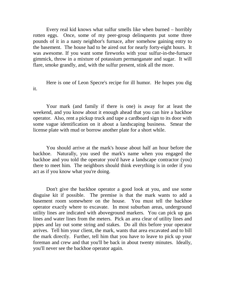Every real kid knows what sulfur smells like when burned – horribly rotten eggs. Once, some of my peer-group delinquents put some three pounds of it in a nasty neighbor's furnace, after somehow gaining entry to the basement. The house had to be aired out for nearly forty-eight hours. It was awesome. If you want some fireworks with your sulfur-in-the-furnace gimmick, throw in a mixture of potassium permanganate and sugar. It will flare, smoke grandly, and, with the sulfur present, stink all the more.

 Here is one of Leon Specre's recipe for ill humor. He hopes you dig it.

 Your mark (and family if there is one) is away for at least the weekend, and you know about it enough ahead that you can hire a backhoe operator. Also, rent a pickup truck and tape a cardboard sign to its door with some vague identification on it about a landscaping business. Smear the license plate with mud or borrow another plate for a short while.

 You should arrive at the mark's house about half an hour before the backhoe. Naturally, you used the mark's name when you engaged the backhoe and you told the operator you'd have a landscape contractor (you) there to meet him. The neighbors should think everything is in order if you act as if you know what you're doing.

 Don't give the backhoe operator a good look at you, and use some disguise kit if possible. The premise is that the mark wants to add a basement room somewhere on the house. You must tell the backhoe operator exactly where to excavate. In most suburban areas, underground utility lines are indicated with aboveground markers. You can pick up gas lines and water lines from the meters. Pick an area clear of utility lines and pipes and lay out some string and stakes. Do all this before your operator arrives. Tell him your client, the mark, wants that area excavated and to bill the mark directly. Further, tell him that you have to leave to pick up your foreman and crew and that you'll be back in about twenty minutes. Ideally, you'll never see the backhoe operator again.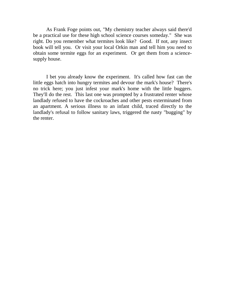As Frank Foge points out, "My chemistry teacher always said there'd be a practical use for these high school science courses someday." She was right. Do you remember what termites look like? Good. If not, any insect book will tell you. Or visit your local Orkin man and tell him you need to obtain some termite eggs for an experiment. Or get them from a sciencesupply house.

 I bet you already know the experiment. It's called how fast can the little eggs hatch into hungry termites and devour the mark's house? There's no trick here; you just infest your mark's home with the little buggers. They'll do the rest. This last one was prompted by a frustrated renter whose landlady refused to have the cockroaches and other pests exterminated from an apartment. A serious illness to an infant child, traced directly to the landlady's refusal to follow sanitary laws, triggered the nasty "bugging" by the renter.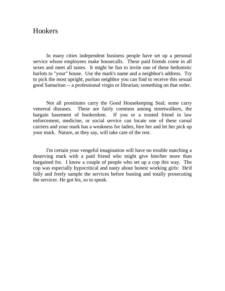## Hookers

In many cities independent business people have set up a personal service whose employees make housecalls. These paid friends come in all sexes and meet all tastes. It might be fun to invite one of these hedonistic harlots to "your" house. Use the mark's name and a neighbor's address. Try to pick the most upright, puritan neighbor you can find to receive this sexual good Samaritan -- a professional virgin or librarian; something on that order.

 Not all prostitutes carry the Good Housekeeping Seal; some carry venereal diseases. These are fairly common among streetwalkers, the bargain basement of hookerdom. If you or a trusted friend in law enforcement, medicine, or social service can locate one of these carnal carriers and your mark has a weakness for ladies, hire her and let her pick up your mark. Nature, as they say, will take care of the rest.

 I'm certain your vengeful imagination will have no trouble matching a deserving mark with a paid friend who might give him/her more than bargained for. I know a couple of people who set up a cop this way. The cop was especially hypocritical and nasty about honest working girls: He'd fully and freely sample the services before busting and totally prosecuting the servicer. He got his, so to speak.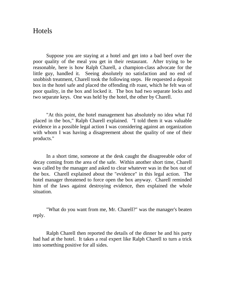# **Hotels**

Suppose you are staying at a hotel and get into a bad beef over the poor quality of the meal you get in their restaurant. After trying to be reasonable, here is how Ralph Charell, a champion-class advocate for the little guy, handled it. Seeing absolutely no satisfaction and no end of snobbish treatment, Charell took the following steps. He requested a deposit box in the hotel safe and placed the offending rib roast, which he felt was of poor quality, in the box and locked it. The box had two separate locks and two separate keys. One was held by the hotel, the other by Charell.

 "At this point, the hotel management has absolutely no idea what I'd placed in the box," Ralph Charell explained. "I told them it was valuable evidence in a possible legal action I was considering against an organization with whom I was having a disagreement about the quality of one of their products."

 In a short time, someone at the desk caught the disagreeable odor of decay coming from the area of the safe. Within another short time, Charell was called by the manager and asked to clear whatever was in the box out of the box. Charell explained about the "evidence" in this legal action. The hotel manager threatened to force open the box anyway. Charell reminded him of the laws against destroying evidence, then explained the whole situation.

 "What do you want from me, Mr. Charell?" was the manager's beaten reply.

 Ralph Charell then reported the details of the dinner he and his party had had at the hotel. It takes a real expert like Ralph Charell to turn a trick into something positive for all sides.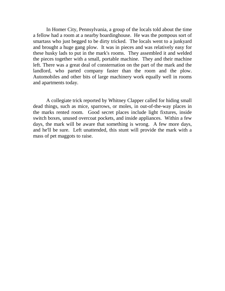In Homer City, Pennsylvania, a group of the locals told about the time a fellow had a room at a nearby boardinghouse. He was the pompous sort of smartass who just begged to be dirty tricked. The locals went to a junkyard and brought a huge gang plow. It was in pieces and was relatively easy for these husky lads to put in the mark's rooms. They assembled it and welded the pieces together with a small, portable machine. They and their machine left. There was a great deal of consternation on the part of the mark and the landlord, who parted company faster than the room and the plow. Automobiles and other bits of large machinery work equally well in rooms and apartments today.

 A collegiate trick reported by Whitney Clapper called for hiding small dead things, such as mice, sparrows, or moles, in out-of-the-way places in the marks rented room. Good secret places include light fixtures, inside switch boxes, unused overcoat pockets, and inside appliances. Within a few days, the mark will be aware that something is wrong. A few more days, and he'll be sure. Left unattended, this stunt will provide the mark with a mass of pet maggots to raise.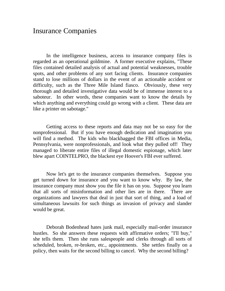# Insurance Companies

In the intelligence business, access to insurance company files is regarded as an operational goldmine. A former executive explains, "These files contained detailed analysis of actual and potential weaknesses, trouble spots, and other problems of any sort facing clients. Insurance companies stand to lose millions of dollars in the event of an actionable accident or difficulty, such as the Three Mile Island fiasco. Obviously, these very thorough and detailed investigative data would be of immense interest to a saboteur. In other words, these companies want to know the details by which anything and everything could go wrong with a client. These data are like a printer on sabotage."

 Getting access to these reports and data may not be so easy for the nonprofessional. But if you have enough dedication and imagination you will find a method. The kids who blackbagged the FBI offices in Media, Pennsylvania, were nonprofessionals, and look what they pulled off! They managed to liberate entire files of illegal domestic espionage, which later blew apart COINTELPRO, the blackest eye Hoover's FBI ever suffered.

 Now let's get to the insurance companies themselves. Suppose you get turned down for insurance and you want to know why. By law, the insurance company must show you the file it has on you. Suppose you learn that all sorts of misinformation and other lies are in there. There are organizations and lawyers that deal in just that sort of thing, and a load of simultaneous lawsuits for such things as invasion of privacy and slander would be great.

 Deborah Bodenhead hates junk mail, especially mail-order insurance hustles. So she answers these requests with affirmative orders; "I'll buy," she tells them. Then she runs salespeople and clerks through all sorts of scheduled, broken, re-broken, etc., appointments. She settles finally on a policy, then waits for the second billing to cancel. Why the second billing?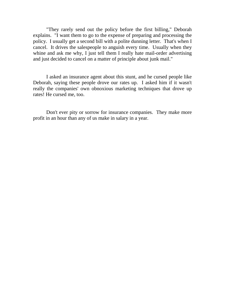"They rarely send out the policy before the first billing," Deborah explains. "I want them to go to the expense of preparing and processing the policy. I usually get a second bill with a polite dunning letter. That's when I cancel. It drives the salespeople to anguish every time. Usually when they whine and ask me why, I just tell them I really hate mail-order advertising and just decided to cancel on a matter of principle about junk mail."

 I asked an insurance agent about this stunt, and he cursed people like Deborah, saying these people drove our rates up. I asked him if it wasn't really the companies' own obnoxious marketing techniques that drove up rates! He cursed me, too.

 Don't ever pity or sorrow for insurance companies. They make more profit in an hour than any of us make in salary in a year.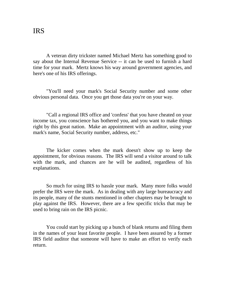A veteran dirty trickster named Michael Mertz has something good to say about the Internal Revenue Service -- it can be used to furnish a hard time for your mark. Mertz knows his way around government agencies, and here's one of his IRS offerings.

 "You'll need your mark's Social Security number and some other obvious personal data. Once you get those data you're on your way.

 "Call a regional IRS office and 'confess' that you have cheated on your income tax, you conscience has bothered you, and you want to make things right by this great nation. Make an appointment with an auditor, using your mark's name, Social Security number, address, etc."

 The kicker comes when the mark doesn't show up to keep the appointment, for obvious reasons. The IRS will send a visitor around to talk with the mark, and chances are he will be audited, regardless of his explanations.

 So much for using IRS to hassle your mark. Many more folks would prefer the IRS were the mark. As in dealing with any large bureaucracy and its people, many of the stunts mentioned in other chapters may be brought to play against the IRS. However, there are a few specific tricks that may be used to bring rain on the IRS picnic.

 You could start by picking up a bunch of blank returns and filing them in the names of your least favorite people. I have been assured by a former IRS field auditor that someone will have to make an effort to verify each return.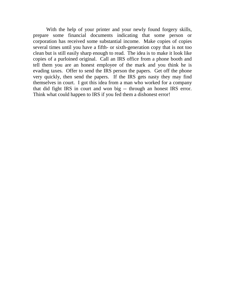With the help of your printer and your newly found forgery skills, prepare some financial documents indicating that some person or corporation has received some substantial income. Make copies of copies several times until you have a fifth- or sixth-generation copy that is not too clean but is still easily sharp enough to read. The idea is to make it look like copies of a purloined original. Call an IRS office from a phone booth and tell them you are an honest employee of the mark and you think he is evading taxes. Offer to send the IRS person the papers. Get off the phone very quickly, then send the papers. If the IRS gets nasty they may find themselves in court. I got this idea from a man who worked for a company that did fight IRS in court and won big -- through an honest IRS error. Think what could happen to IRS if you fed them a dishonest error!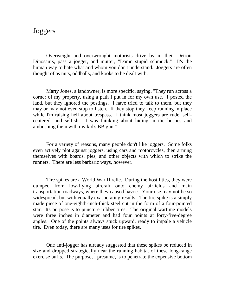### Joggers

Overweight and overwrought motorists drive by in their Detroit Dinosaurs, pass a jogger, and mutter, "Damn stupid schmuck." It's the human way to hate what and whom you don't understand. Joggers are often thought of as nuts, oddballs, and kooks to be dealt with.

 Marty Jones, a landowner, is more specific, saying, "They run across a corner of my property, using a path I put in for my own use. I posted the land, but they ignored the postings. I have tried to talk to them, but they may or may not even stop to listen. If they stop they keep running in place while I'm raising hell about trespass. I think most joggers are rude, selfcentered, and selfish. I was thinking about hiding in the bushes and ambushing them with my kid's BB gun."

 For a variety of reasons, many people don't like joggers. Some folks even actively plot against joggers, using cars and motorcycles, then arming themselves with boards, pies, and other objects with which to strike the runners. There are less barbaric ways, however.

 Tire spikes are a World War II relic. During the hostilities, they were dumped from low-flying aircraft onto enemy airfields and main transportation roadways, where they caused havoc. Your use may not be so widespread, but with equally exasperating results. The tire spike is a simply made piece of one-eighth-inch-thick steel cut in the form of a four-pointed star. Its purpose is to puncture rubber tires. The original wartime models were three inches in diameter and had four points at forty-five-degree angles. One of the points always stuck upward, ready to impale a vehicle tire. Even today, there are many uses for tire spikes.

 One anti-jogger has already suggested that these spikes be reduced in size and dropped strategically near the running habitat of these long-range exercise buffs. The purpose, I presume, is to penetrate the expensive bottom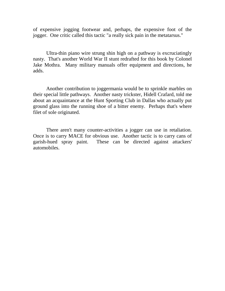of expensive jogging footwear and, perhaps, the expensive foot of the jogger. One critic called this tactic "a really sick pain in the metatarsus."

 Ultra-thin piano wire strung shin high on a pathway is excruciatingly nasty. That's another World War II stunt redrafted for this book by Colonel Jake Mothra. Many military manuals offer equipment and directions, he adds.

 Another contribution to joggermania would be to sprinkle marbles on their special little pathways. Another nasty trickster, Hidell Crafard, told me about an acquaintance at the Hunt Sporting Club in Dallas who actually put ground glass into the running shoe of a bitter enemy. Perhaps that's where filet of sole originated.

 There aren't many counter-activities a jogger can use in retaliation. Once is to carry MACE for obvious use. Another tactic is to carry cans of garish-hued spray paint. These can be directed against attackers' automobiles.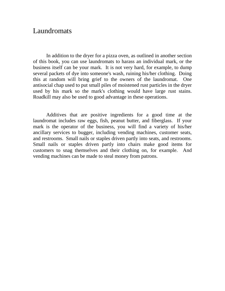### Laundromats

In addition to the dryer for a pizza oven, as outlined in another section of this book, you can use laundromats to harass an individual mark, or the business itself can be your mark. It is not very hard, for example, to dump several packets of dye into someone's wash, ruining his/her clothing. Doing this at random will bring grief to the owners of the laundromat. One antisocial chap used to put small piles of moistened rust particles in the dryer used by his mark so the mark's clothing would have large rust stains. Roadkill may also be used to good advantage in these operations.

 Additives that are positive ingredients for a good time at the laundromat includes raw eggs, fish, peanut butter, and fiberglass. If your mark is the operator of the business, you will find a variety of his/her ancillary services to bugger, including vending machines, customer seats, and restrooms. Small nails or staples driven partly into seats, and restrooms. Small nails or staples driven partly into chairs make good items for customers to snag themselves and their clothing on, for example. And vending machines can be made to steal money from patrons.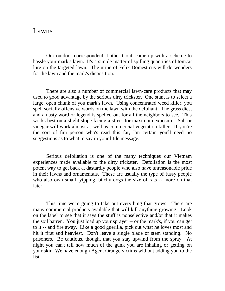#### Lawns<sup>1</sup>

Our outdoor correspondent, Lother Gout, came up with a scheme to hassle your mark's lawn. It's a simple matter of spilling quantities of tomcat lure on the targeted lawn. The urine of Felix Domesticus will do wonders for the lawn and the mark's disposition.

 There are also a number of commercial lawn-care products that may used to good advantage by the serious dirty trickster. One stunt is to select a large, open chunk of you mark's lawn. Using concentrated weed killer, you spell socially offensive words on the lawn with the defoliant. The grass dies, and a nasty word or legend is spelled out for all the neighbors to see. This works best on a slight slope facing a street for maximum exposure. Salt or vinegar will work almost as well as commercial vegetation killer. If you're the sort of fun person who's read this far, I'm certain you'll need no suggestions as to what to say in your little message.

 Serious defoliation is one of the many techniques our Vietnam experiences made available to the dirty trickster. Defoliation is the most potent way to get back at dastardly people who also have unreasonable pride in their lawns and ornamentals. These are usually the type of fussy people who also own small, yipping, bitchy dogs the size of rats -- more on that later.

 This time we're going to take out everything that grows. There are many commercial products available that will kill anything growing. Look on the label to see that it says the stuff is nonselective and/or that it makes the soil barren. You just load up your sprayer -- or the mark's, if you can get to it -- and fire away. Like a good guerilla, pick out what he loves most and hit it first and heaviest. Don't leave a single blade or stem standing. No prisoners. Be cautious, though, that you stay upwind from the spray. At night you can't tell how much of the gunk you are inhaling or getting on your skin. We have enough Agent Orange victims without adding you to the list.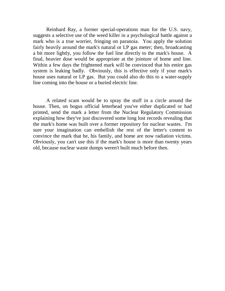Reinhard Ray, a former special-operations man for the U.S. navy, suggests a selective use of the weed killer in a psychological battle against a mark who is a true worrier, fringing on paranoia. You apply the solution fairly heavily around the mark's natural or LP gas meter; then, broadcasting a bit more lightly, you follow the fuel line directly to the mark's house. A final, heavier dose would be appropriate at the jointure of home and line. Within a few days the frightened mark will be convinced that his entire gas system is leaking badly. Obviously, this is effective only if your mark's house uses natural or LP gas. But you could also do this to a water-supply line coming into the house or a buried electric line.

 A related scam would be to spray the stuff in a circle around the house. Then, on bogus official letterhead you've either duplicated or had printed, send the mark a letter from the Nuclear Regulatory Commission explaining how they've just discovered some long lost records revealing that the mark's home was built over a former repository for nuclear wastes. I'm sure your imagination can embellish the rest of the letter's content to convince the mark that he, his family, and home are now radiation victims. Obviously, you can't use this if the mark's house is more than twenty years old, because nuclear waste dumps weren't built much before then.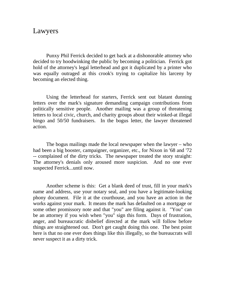#### Lawyers

Punxy Phil Ferrick decided to get back at a dishonorable attorney who decided to try hoodwinking the public by becoming a politician. Ferrick got hold of the attorney's legal letterhead and got it duplicated by a printer who was equally outraged at this crook's trying to capitalize his larceny by becoming an elected thing.

 Using the letterhead for starters, Ferrick sent out blatant dunning letters over the mark's signature demanding campaign contributions from politically sensitive people. Another mailing was a group of threatening letters to local civic, church, and charity groups about their winked-at illegal bingo and 50/50 fundraisers. In the bogus letter, the lawyer threatened action.

 The bogus mailings made the local newspaper when the lawyer – who had been a big booster, campaigner, organizer, etc., for Nixon in '68 and '72 -- complained of the dirty tricks. The newspaper treated the story straight: The attorney's denials only aroused more suspicion. And no one ever suspected Ferrick...until now.

 Another scheme is this: Get a blank deed of trust, fill in your mark's name and address, use your notary seal, and you have a legitimate-looking phony document. File it at the courthouse, and you have an action in the works against your mark. It means the mark has defaulted on a mortgage or some other promissory note and that "you" are filing against it. "You" can be an attorney if you wish when "you" sign this form. Days of frustration, anger, and bureaucratic disbelief directed at the mark will follow before things are straightened out. Don't get caught doing this one. The best point here is that no one ever does things like this illegally, so the bureaucrats will never suspect it as a dirty trick.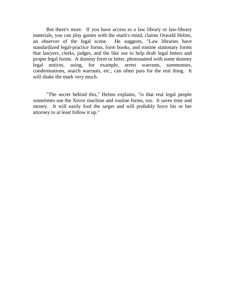But there's more. If you have access to a law library or law-library materials, you can play games with the mark's mind, claims Oswald Helms, an observer of the legal scene. He suggests, "Law libraries have standardized legal-practice forms, form books, and routine stationary forms that lawyers, clerks, judges, and the like use to help draft legal letters and proper legal forms. A dummy form or letter, photostatted with some dummy legal notices, using, for example, arrest warrants, summonses, condemnations, search warrants, etc., can often pass for the real thing. It will shake the mark very much.

 "The secret behind this," Helms explains, "is that real legal people sometimes use the Xerox machine and routine forms, too. It saves time and money. It will easily fool the target and will probably force his or her attorney to at least follow it up."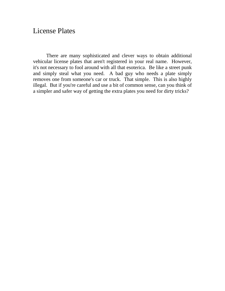# License Plates

There are many sophisticated and clever ways to obtain additional vehicular license plates that aren't registered in your real name. However, it's not necessary to fool around with all that esoterica. Be like a street punk and simply steal what you need. A bad guy who needs a plate simply removes one from someone's car or truck. That simple. This is also highly illegal. But if you're careful and use a bit of common sense, can you think of a simpler and safer way of getting the extra plates you need for dirty tricks?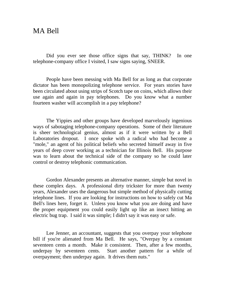# MA Bell

Did you ever see those office signs that say, THINK? In one telephone-company office I visited, I saw signs saying, SNEER.

 People have been messing with Ma Bell for as long as that corporate dictator has been monopolizing telephone service. For years stories have been circulated about using strips of Scotch tape on coins, which allows their use again and again in pay telephones. Do you know what a number fourteen washer will accomplish in a pay telephone?

 The Yippies and other groups have developed marvelously ingenious ways of sabotaging telephone-company operations. Some of their literature is sheer technological genius, almost as if it were written by a Bell Laboratories dropout. I once spoke with a radical who had become a "mole," an agent of his political beliefs who secreted himself away in five years of deep cover working as a technician for Illinois Bell. His purpose was to learn about the technical side of the company so he could later control or destroy telephonic communication.

 Gordon Alexander presents an alternative manner, simple but novel in these complex days. A professional dirty trickster for more than twenty years, Alexander uses the dangerous but simple method of physically cutting telephone lines. If you are looking for instructions on how to safely cut Ma Bell's lines here, forget it. Unless you know what you are doing and have the proper equipment you could easily light up like an insect hitting an electric bug trap. I said it was simple; I didn't say it was easy or safe.

 Lee Jenner, an accountant, suggests that you overpay your telephone bill if you're alienated from Ma Bell. He says, "Overpay by a constant seventeen cents a month. Make it consistent. Then, after a few months, underpay by seventeen cents. Start another pattern for a while of overpayment; then underpay again. It drives them nuts."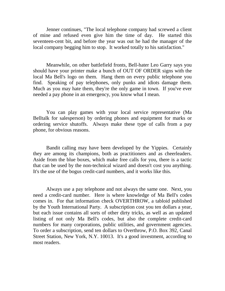Jenner continues, "The local telephone company had screwed a client of mine and refused even give him the time of day. He started this seventeen-cent bit, and before the year was out he had the manager of the local company begging him to stop. It worked totally to his satisfaction."

 Meanwhile, on other battlefield fronts, Bell-hater Leo Garry says you should have your printer make a bunch of OUT OF ORDER signs with the local Ma Bell's logo on them. Hang them on every public telephone you find. Speaking of pay telephones, only punks and idiots damage them. Much as you may hate them, they're the only game in town. If you've ever needed a pay phone in an emergency, you know what I mean.

 You can play games with your local service representative (Ma Belltalk for salesperson) by ordering phones and equipment for marks or ordering service shutoffs. Always make these type of calls from a pay phone, for obvious reasons.

 Bandit calling may have been developed by the Yippies. Certainly they are among its champions, both as practitioners and as cheerleaders. Aside from the blue boxes, which make free calls for you, there is a tactic that can be used by the non-technical wizard and doesn't cost you anything. It's the use of the bogus credit-card numbers, and it works like this.

 Always use a pay telephone and not always the same one. Next, you need a credit-card number. Here is where knowledge of Ma Bell's codes comes in. For that information check OVERTHROW, a tabloid published by the Youth International Party. A subscription cost you ten dollars a year, but each issue contains all sorts of other dirty tricks, as well as an updated listing of not only Ma Bell's codes, but also the complete credit-card numbers for many corporations, public utilities, and government agencies. To order a subscription, send ten dollars to Overthrow, P.O. Box 392, Canal Street Station, New York, N.Y. 10013. It's a good investment, according to most readers.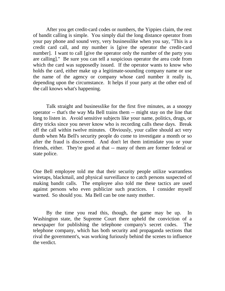After you get credit-card codes or numbers, the Yippies claim, the rest of bandit calling is simple. You simply dial the long distance operator from your pay phone and sound very, very businesslike when you say, "This is a credit card call, and my number is [give the operator the credit-card number]. I want to call [give the operator only the number of the party you are calling]." Be sure you can tell a suspicious operator the area code from which the card was supposedly issued. If the operator wants to know who holds the card, either make up a legitimate-sounding company name or use the name of the agency or company whose card number it really is, depending upon the circumstance. It helps if your party at the other end of the call knows what's happening.

 Talk straight and businesslike for the first five minutes, as a snoopy operator -- that's the way Ma Bell trains them -- might stay on the line that long to listen in. Avoid sensitive subjects like your name, politics, drugs, or dirty tricks since you never know who is recording calls these days. Break off the call within twelve minutes. Obviously, your callee should act very dumb when Ma Bell's security people do come to investigate a month or so after the fraud is discovered. And don't let them intimidate you or your friends, either. They're good at that -- many of them are former federal or state police.

One Bell employee told me that their security people utilize warrantless wiretaps, blackmail, and physical surveillance to catch persons suspected of making bandit calls. The employee also told me these tactics are used against persons who even publicize such practices. I consider myself warned. So should you. Ma Bell can be one nasty mother.

 By the time you read this, though, the game may be up. In Washington state, the Supreme Court there upheld the conviction of a newspaper for publishing the telephone company's secret codes. The telephone company, which has both security and propaganda sections that rival the government's, was working furiously behind the scenes to influence the verdict.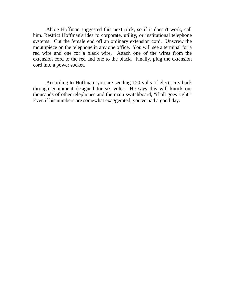Abbie Hoffman suggested this next trick, so if it doesn't work, call him. Restrict Hoffman's idea to corporate, utility, or institutional telephone systems. Cut the female end off an ordinary extension cord. Unscrew the mouthpiece on the telephone in any one office. You will see a terminal for a red wire and one for a black wire. Attach one of the wires from the extension cord to the red and one to the black. Finally, plug the extension cord into a power socket.

 According to Hoffman, you are sending 120 volts of electricity back through equipment designed for six volts. He says this will knock out thousands of other telephones and the main switchboard, "if all goes right." Even if his numbers are somewhat exaggerated, you've had a good day.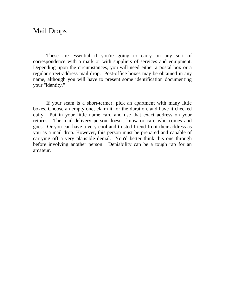# Mail Drops

These are essential if you're going to carry on any sort of correspondence with a mark or with suppliers of services and equipment. Depending upon the circumstances, you will need either a postal box or a regular street-address mail drop. Post-office boxes may be obtained in any name, although you will have to present some identification documenting your "identity."

 If your scam is a short-termer, pick an apartment with many little boxes. Choose an empty one, claim it for the duration, and have it checked daily. Put in your little name card and use that exact address on your returns. The mail-delivery person doesn't know or care who comes and goes. Or you can have a very cool and trusted friend front their address as you as a mail drop. However, this person must be prepared and capable of carrying off a very plausible denial. You'd better think this one through before involving another person. Deniability can be a tough rap for an amateur.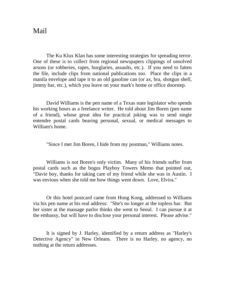## Mail

The Ku Klux Klan has some interesting strategies for spreading terror. One of these is to collect from regional newspapers clippings of unsolved arsons (or robberies, rapes, burglaries, assaults, etc.). If you need to fatten the file, include clips from national publications too. Place the clips in a manila envelope and tape it to an old gasoline can (or ax, bra, shotgun shell, jimmy bar, etc.), which you leave on your mark's home or office doorstep.

 David Williams is the pen name of a Texas state legislator who spends his working hours as a freelance writer. He told about Jim Boren (pen name of a friend), whose great idea for practical joking was to send single entendre postal cards bearing personal, sexual, or medical messages to William's home.

"Since I met Jim Boren, I hide from my postman," Williams notes.

 Williams is not Boren's only victim. Many of his friends suffer from postal cards such as the bogus Playboy Towers Memo that pointed out, "Davie boy, thanks for taking care of my friend while she was in Austin. I was envious when she told me how things went down. Love, Elvira."

 Or this hotel postcard came from Hong Kong, addressed to Williams via his pen name at his real address: "She's no longer at the topless bar. But her sister at the massage parlor thinks she went to Seoul. I can pursue it at the embassy, but will have to disclose your personal interest. Please advise."

 It is signed by J. Harley, identified by a return address as "Harley's Detective Agency" in New Orleans. There is no Harley, no agency, no nothing at the return addresses.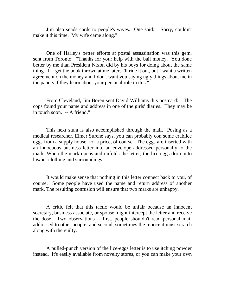Jim also sends cards to people's wives. One said: "Sorry, couldn't make it this time. My wife came along."

 One of Harley's better efforts at postal assassination was this gem, sent from Toronto: "Thanks for your help with the bail money. You done better by me than President Nixon did by his boys for doing about the same thing. If I get the book thrown at me later, I'll ride it out, but I want a written agreement on the money and I don't want you saying ugly things about me in the papers if they learn about your personal role in this."

 From Cleveland, Jim Boren sent David Williams this postcard: "The cops found your name and address in one of the girls' diaries. They may be in touch soon. -- A friend."

 This next stunt is also accomplished through the mail. Posing as a medical researcher, Elmer Surehe says, you can probably con some crablice eggs from a supply house, for a price, of course. The eggs are inserted with an innocuous business letter into an envelope addressed personally to the mark. When the mark opens and unfolds the letter, the lice eggs drop onto his/her clothing and surroundings.

 It would make sense that nothing in this letter connect back to you, of course. Some people have used the name and return address of another mark. The resulting confusion will ensure that two marks are unhappy.

 A critic felt that this tactic would be unfair because an innocent secretary, business associate, or spouse might intercept the letter and receive the dose. Two observations -- first, people shouldn't read personal mail addressed to other people; and second, sometimes the innocent must scratch along with the guilty.

 A pulled-punch version of the lice-eggs letter is to use itching powder instead. It's easily available from novelty stores, or you can make your own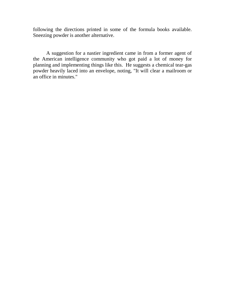following the directions printed in some of the formula books available. Sneezing powder is another alternative.

 A suggestion for a nastier ingredient came in from a former agent of the American intelligence community who got paid a lot of money for planning and implementing things like this. He suggests a chemical tear-gas powder heavily laced into an envelope, noting, "It will clear a mailroom or an office in minutes."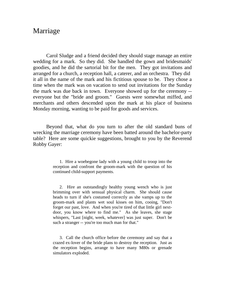#### Marriage

Carol Sludge and a friend decided they should stage manage an entire wedding for a mark. So they did. She handled the gown and bridesmaids' goodies, and he did the sartorial bit for the men. They got invitations and arranged for a church, a reception hall, a caterer, and an orchestra. They did it all in the name of the mark and his fictitious spouse to be. They chose a time when the mark was on vacation to send out invitations for the Sunday the mark was due back in town. Everyone showed up for the ceremony - everyone but the "bride and groom." Guests were somewhat miffed, and merchants and others descended upon the mark at his place of business Monday morning, wanting to be paid for goods and services.

 Beyond that, what do you turn to after the old standard buns of wrecking the marriage ceremony have been batted around the bachelor-party table? Here are some quickie suggestions, brought to you by the Reverend Robby Gayer:

> 1. Hire a woebegone lady with a young child to troop into the reception and confront the groom-mark with the question of his continued child-support payments.

> 2. Hire an outstandingly healthy young wench who is just brimming over with sensual physical charm. She should cause heads to turn if she's costumed correctly as she vamps up to the groom-mark and plants wet soul kisses on him, cooing, "Don't forget our past, love. And when you're tired of that little girl nextdoor, you know where to find me." As she leaves, she stage whispers, "Last [night, week, whatever] was just super. Don't be such a stranger -- you're too much man for that."

> 3. Call the church office before the ceremony and say that a crazed ex-lover of the bride plans to destroy the reception. Just as the reception begins, arrange to have many M80s or grenade simulators exploded.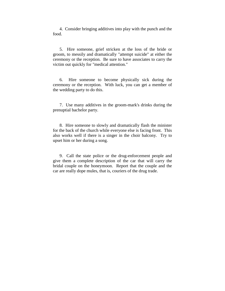4. Consider bringing additives into play with the punch and the food.

 5. Hire someone, grief stricken at the loss of the bride or groom, to messily and dramatically "attempt suicide" at either the ceremony or the reception. Be sure to have associates to carry the victim out quickly for "medical attention."

 6. Hire someone to become physically sick during the ceremony or the reception. With luck, you can get a member of the wedding party to do this.

 7. Use many additives in the groom-mark's drinks during the prenuptial bachelor party.

 8. Hire someone to slowly and dramatically flash the minister for the back of the church while everyone else is facing front. This also works well if there is a singer in the choir balcony. Try to upset him or her during a song.

 9. Call the state police or the drug-enforcement people and give them a complete description of the car that will carry the bridal couple on the honeymoon. Report that the couple and the car are really dope mules, that is, couriers of the drug trade.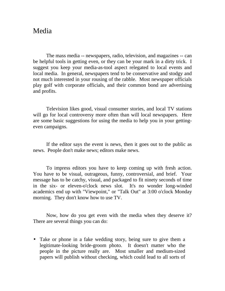# Media

The mass media -- newspapers, radio, television, and magazines -- can be helpful tools in getting even, or they can be your mark in a dirty trick. I suggest you keep your media-as-tool aspect relegated to local events and local media. In general, newspapers tend to be conservative and stodgy and not much interested in your rousing of the rabble. Most newspaper officials play golf with corporate officials, and their common bond are advertising and profits.

 Television likes good, visual consumer stories, and local TV stations will go for local controversy more often than will local newspapers. Here are some basic suggestions for using the media to help you in your gettingeven campaigns.

 If the editor says the event is news, then it goes out to the public as news. People don't make news; editors make news.

 To impress editors you have to keep coming up with fresh action. You have to be visual, outrageous, funny, controversial, and brief. Your message has to be catchy, visual, and packaged to fit ninety seconds of time in the six- or eleven-o'clock news slot. It's no wonder long-winded academics end up with "Viewpoint," or "Talk Out" at 3:00 o'clock Monday morning. They don't know how to use TV.

 Now, how do you get even with the media when they deserve it? There are several things you can do:

• Take or phone in a fake wedding story, being sure to give them a legitimate-looking bride-groom photo. It doesn't matter who the people in the picture really are. Most smaller and medium-sized papers will publish without checking, which could lead to all sorts of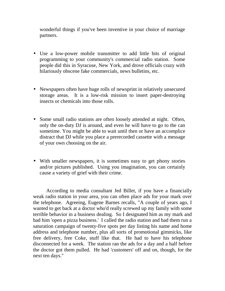wonderful things if you've been inventive in your choice of marriage partners.

- Use a low-power mobile transmitter to add little bits of original programming to your community's commercial radio station. Some people did this in Syracuse, New York, and drove officials crazy with hilariously obscene fake commercials, news bulletins, etc.
- Newspapers often have huge rolls of newsprint in relatively unsecured storage areas. It is a low-risk mission to insert paper-destroying insects or chemicals into those rolls.
- Some small radio stations are often loosely attended at night. Often, only the on-duty DJ is around, and even he will have to go to the can sometime. You might be able to wait until then or have an accomplice distract that DJ while you place a prerecorded cassette with a message of your own choosing on the air.
- With smaller newspapers, it is sometimes easy to get phony stories and/or pictures published. Using you imagination, you can certainly cause a variety of grief with their crime.

 According to media consultant Jed Billet, if you have a financially weak radio station in your area, you can often place ads for your mark over the telephone. Agreeing, Eugene Barnes recalls, "A couple of years ago, I wanted to get back at a doctor who'd really screwed up my family with some terrible behavior in a business dealing. So I designated him as my mark and had him 'open a pizza business.' I called the radio station and had them run a saturation campaign of twenty-five spots per day listing his name and home address and telephone number, plus all sorts of promotional gimmicks, like free delivery, free Coke, stuff like that. He had to have his telephone disconnected for a week. The station ran the ads for a day and a half before the doctor got them pulled. He had 'customers' off and on, though, for the next ten days."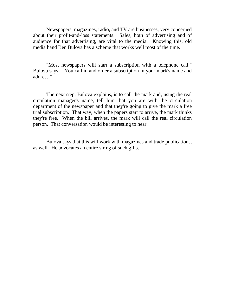Newspapers, magazines, radio, and TV are businesses, very concerned about their profit-and-loss statements. Sales, both of advertising and of audience for that advertising, are vital to the media. Knowing this, old media hand Ben Bulova has a scheme that works well most of the time.

 "Most newspapers will start a subscription with a telephone call," Bulova says. "You call in and order a subscription in your mark's name and address."

 The next step, Bulova explains, is to call the mark and, using the real circulation manager's name, tell him that you are with the circulation department of the newspaper and that they're going to give the mark a free trial subscription. That way, when the papers start to arrive, the mark thinks they're free. When the bill arrives, the mark will call the real circulation person. That conversation would be interesting to hear.

 Bulova says that this will work with magazines and trade publications, as well. He advocates an entire string of such gifts.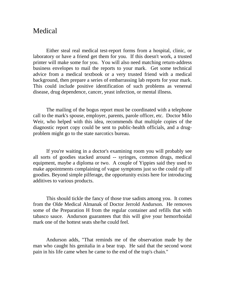# **Medical**

Either steal real medical test-report forms from a hospital, clinic, or laboratory or have a friend get them for you. If this doesn't work, a trusted printer will make some for you. You will also need matching return-address business envelopes to mail the reports to your mark. Get some technical advice from a medical textbook or a very trusted friend with a medical background, then prepare a series of embarrassing lab reports for your mark. This could include positive identification of such problems as venereal disease, drug dependence, cancer, yeast infection, or mental illness.

 The mailing of the bogus report must be coordinated with a telephone call to the mark's spouse, employer, parents, parole officer, etc. Doctor Milo Weir, who helped with this idea, recommends that multiple copies of the diagnostic report copy could be sent to public-health officials, and a drugproblem might go to the state narcotics bureau.

 If you're waiting in a doctor's examining room you will probably see all sorts of goodies stacked around -- syringes, common drugs, medical equipment, maybe a diploma or two. A couple of Yippies said they used to make appointments complaining of vague symptoms just so the could rip off goodies. Beyond simple pilferage, the opportunity exists here for introducing additives to various products.

 This should tickle the fancy of those true sadists among you. It comes from the Olde Medical Almanak of Doctor Jerrold Andurson. He removes some of the Preparation H from the regular container and refills that with tabasco sauce. Andurson guarantees that this will give your hemorrhoidal mark one of the hottest seats she/he could feel.

 Andurson adds, "That reminds me of the observation made by the man who caught his genitalia in a bear trap. He said that the second worst pain in his life came when he came to the end of the trap's chain."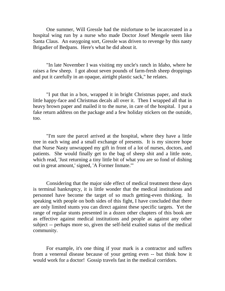One summer, Will Gressle had the misfortune to be incarcerated in a hospital wing run by a nurse who made Doctor Josef Mengele seem like Santa Claus. An easygoing sort, Gressle was driven to revenge by this nasty Brigadier of Bedpans. Here's what he did about it.

 "In late November I was visiting my uncle's ranch in Idaho, where he raises a few sheep. I got about seven pounds of farm-fresh sheep droppings and put it carefully in an opaque, airtight plastic sack," he relates.

 "I put that in a box, wrapped it in bright Christmas paper, and stuck little happy-face and Christmas decals all over it. Then I wrapped all that in heavy brown paper and mailed it to the nurse, in care of the hospital. I put a fake return address on the package and a few holiday stickers on the outside, too.

 "I'm sure the parcel arrived at the hospital, where they have a little tree in each wing and a small exchange of presents. It is my sincere hope that Nurse Nasty unwrapped my gift in front of a lot of nurses, doctors, and patients. She would finally get to the bag of sheep shit and a little note, which read, 'Just returning a tiny little bit of what you are so fond of dishing out in great amount,' signed, 'A Former Inmate.'"

 Considering that the major side effect of medical treatment these days is terminal bankruptcy, it is little wonder that the medical institutions and personnel have become the target of so much getting-even thinking. In speaking with people on both sides of this fight, I have concluded that there are only limited stunts you can direct against these specific targets. Yet the range of regular stunts presented in a dozen other chapters of this book are as effective against medical institutions and people as against any other subject -- perhaps more so, given the self-held exalted status of the medical community.

 For example, it's one thing if your mark is a contractor and suffers from a venereal disease because of your getting even -- but think how it would work for a doctor! Gossip travels fast in the medical corridors.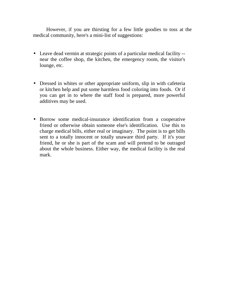However, if you are thirsting for a few little goodies to toss at the medical community, here's a mini-list of suggestions:

- Leave dead vermin at strategic points of a particular medical facility near the coffee shop, the kitchen, the emergency room, the visitor's lounge, etc.
- Dressed in whites or other appropriate uniform, slip in with cafeteria or kitchen help and put some harmless food coloring into foods. Or if you can get in to where the staff food is prepared, more powerful additives may be used.
- Borrow some medical-insurance identification from a cooperative friend or otherwise obtain someone else's identification. Use this to charge medical bills, either real or imaginary. The point is to get bills sent to a totally innocent or totally unaware third party. If it's your friend, he or she is part of the scam and will pretend to be outraged about the whole business. Either way, the medical facility is the real mark.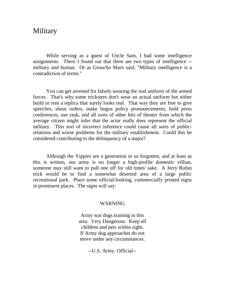# **Military**

While serving as a guest of Uncle Sam, I had some intelligence assignments. There I found out that there are two types of intelligence - military and human. Or as Groucho Marx said, "Military intelligence is a contradiction of terms."

 You can get arrested for falsely wearing the real uniform of the armed forces. That's why some tricksters don't wear an actual uniform but either build or rent a replica that surely looks real. That way they are free to give speeches, shout orders, make bogus policy pronouncements, hold press conferences, use rank, and all sorts of other bits of theater from which the average citizen might infer that the actor really does represent the official military. This sort of incorrect inference could cause all sorts of publicrelations and worse problems for the military establishment. Could this be considered contributing to the delinquency of a major?

 Although the Yippies are a generation or so forgotten, and at least as this is written, our army is no longer a high-profile domestic villian, someone may still want to pull one off for old times' sake. A Jerry Rubin trick would be to find a somewhat deserted area of a large public recreational park. Place some official-looking, commercially printed signs in prominent places. The signs will say:

#### WARNING

Army war dogs training in this area. Very Dangerous. Keep all children and pets within sight. If Army dog approaches do not move under any circumstances.

--U.S. Army. Official--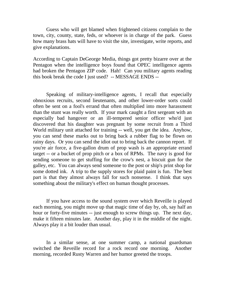Guess who will get blamed when frightened citizens complain to the town, city, county, state, feds, or whoever is in charge of the park. Guess how many brass hats will have to visit the site, investigate, write reports, and give explanations.

According to Captain DeGeorge Media, things got pretty bizarre over at the Pentagon when the intelligence boys found that OPEC intelligence agents had broken the Pentagon ZIP code. Hah! Can you military agents reading this book break the code I just used? -- MESSAGE ENDS --

 Speaking of military-intelligence agents, I recall that especially obnoxious recruits, second lieutenants, and other lower-order sorts could often be sent on a fool's errand that often multiplied into more harassment than the stunt was really worth. If your mark caught a first sergeant with an especially bad hangover or an ill-tempered senior officer who'd just discovered that his daughter was pregnant by some recruit from a Third World military unit attached for training -- well, you get the idea. Anyhow, you can send these marks out to bring back a rubber flag to be flown on rainy days. Or you can send the idiot out to bring back the cannon report. If you're air force, a five-gallon drum of prop wash is an appropriate errand target -- or a bucket of prop pitch or a box of RPMs. The navy is good for sending someone to get stuffing for the crow's nest, a biscuit gun for the galley, etc. You can always send someone to the post or ship's print shop for some dotted ink. A trip to the supply stores for plaid paint is fun. The best part is that they almost always fall for such nonsense. I think that says something about the military's effect on human thought processes.

 If you have access to the sound system over which Reveille is played each morning, you might move up that magic time of day by, oh, say half an hour or forty-five minutes -- just enough to screw things up. The next day, make it fifteen minutes late. Another day, play it in the middle of the night. Always play it a bit louder than usual.

 In a similar sense, at one summer camp, a national guardsman switched the Reveille record for a rock record one morning. Another morning, recorded Rusty Warren and her humor greeted the troops.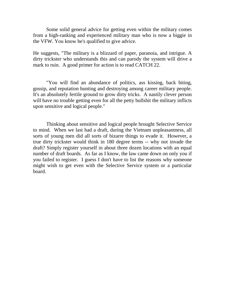Some solid general advice for getting even within the military comes from a high-ranking and experienced military man who is now a biggie in the VFW. You know he's qualified to give advice.

He suggests, "The military is a blizzard of paper, paranoia, and intrigue. A dirty trickster who understands this and can parody the system will drive a mark to ruin. A good primer for action is to read CATCH 22.

 "You will find an abundance of politics, ass kissing, back biting, gossip, and reputation hunting and destroying among career military people. It's an absolutely fertile ground to grow dirty tricks. A nastily clever person will have no trouble getting even for all the petty bullshit the military inflicts upon sensitive and logical people."

 Thinking about sensitive and logical people brought Selective Service to mind. When we last had a draft, during the Vietnam unpleasantness, all sorts of young men did all sorts of bizarre things to evade it. However, a true dirty trickster would think in 180 degree terms -- why not invade the draft? Simply register yourself in about three dozen locations with an equal number of draft boards. As far as I know, the law came down on only you if you failed to register. I guess I don't have to list the reasons why someone might wish to get even with the Selective Service system or a particular board.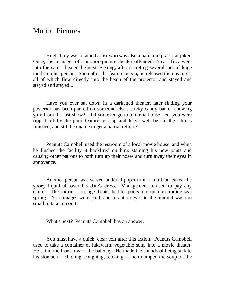# Motion Pictures

Hugh Troy was a famed artist who was also a hardcore practical joker. Once, the manager of a motion-picture theater offended Troy. Troy went into the same theater the next evening, after secreting several jars of huge moths on his person. Soon after the feature began, he released the creatures, all of which flew directly into the beam of the projector and stayed and stayed and stayed....

 Have you ever sat down in a darkened theater, later finding your posterior has been parked on someone else's sticky candy bar or chewing gum from the last show? Did you ever go to a movie house, feel you were ripped off by the poor feature, get up and leave well before the film is finished, and still be unable to get a partial refund?

 Peanuts Campbell used the restroom of a local movie house, and when he flushed the facility it backfired on him, staining his new pants and causing other patrons to both turn up their noses and turn away their eyes in annoyance.

 Another person was served buttered popcorn in a tub that leaked the gooey liquid all over his date's dress. Management refused to pay any claims. The patron of a stage theater had his pants torn on a protruding seat spring. No damages were paid, and his attorney said the amount was too small to take to court.

What's next? Peanuts Campbell has an answer.

 You must have a quick, clear exit after this action. Peanuts Campbell used to take a container of lukewarm vegetable soup into a movie theater. He sat in the front row of the balcony. He made the sounds of being sick to his stomach -- choking, coughing, retching -- then dumped the soup on the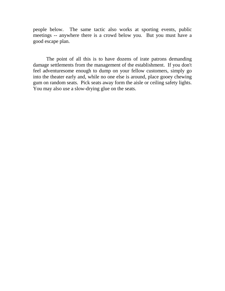people below. The same tactic also works at sporting events, public meetings -- anywhere there is a crowd below you. But you must have a good escape plan.

 The point of all this is to have dozens of irate patrons demanding damage settlements from the management of the establishment. If you don't feel adventuresome enough to dump on your fellow customers, simply go into the theater early and, while no one else is around, place gooey chewing gum on random seats. Pick seats away form the aisle or ceiling safety lights. You may also use a slow-drying glue on the seats.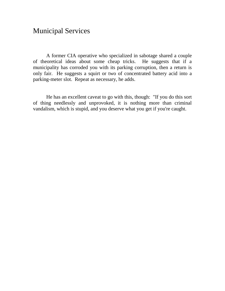# Municipal Services

A former CIA operative who specialized in sabotage shared a couple of theoretical ideas about some cheap tricks. He suggests that if a municipality has corroded you with its parking corruption, then a return is only fair. He suggests a squirt or two of concentrated battery acid into a parking-meter slot. Repeat as necessary, he adds.

 He has an excellent caveat to go with this, though: "If you do this sort of thing needlessly and unprovoked, it is nothing more than criminal vandalism, which is stupid, and you deserve what you get if you're caught.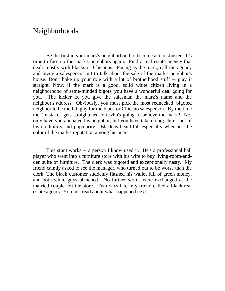#### Neighborhoods

Be the first in your mark's neighborhood to become a blockbuster. It's time to fuss up the mark's neighbors again. Find a real estate agency that deals mostly with blacks or Chicanos. Posing as the mark, call the agency and invite a salesperson out to talk about the sale of the mark's neighbor's house. Don't hoke up your role with a lot of brotherhood stuff -- play it straight. Now, if the mark is a good, solid white citizen living in a neighborhood of same-minded bigots, you have a wonderful deal going for you. The kicker is, you give the salesman the mark's name and the neighbor's address. Obviously, you must pick the most rednecked, bigoted neighbor to be the fall guy for the black or Chicano salesperson. By the time the "mistake" gets straightened out who's going to believe the mark? Not only have you alienated his neighbor, but you have taken a big chunk out of his credibility and popularity. Black is beautiful, especially when it's the color of the mark's reputation among his peers.

 This stunt works -- a person I know used it. He's a professional ball player who went into a furniture store with his wife to buy living-room-andden suite of furniture. The clerk was bigoted and exceptionally nasty. My friend calmly asked to see the manager, who turned out to be worse than the clerk. The black customer suddenly flashed his wallet full of green money, and both white guys blanched. No further words were exchanged as the married couple left the store. Two days later my friend called a black real estate agency. You just read about what happened next.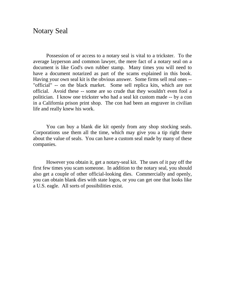#### Notary Seal

Possession of or access to a notary seal is vital to a trickster. To the average layperson and common lawyer, the mere fact of a notary seal on a document is like God's own rubber stamp. Many times you will need to have a document notarized as part of the scams explained in this book. Having your own seal kit is the obvious answer. Some firms sell real ones -- "official" -- on the black market. Some sell replica kits, which are not official. Avoid these -- some are so crude that they wouldn't even fool a politician. I know one trickster who had a seal kit custom made -- by a con in a California prison print shop. The con had been an engraver in civilian life and really knew his work.

 You can buy a blank die kit openly from any shop stocking seals. Corporations use them all the time, which may give you a tip right there about the value of seals. You can have a custom seal made by many of these companies.

 However you obtain it, get a notary-seal kit. The uses of it pay off the first few times you scam someone. In addition to the notary seal, you should also get a couple of other official-looking dies. Commercially and openly, you can obtain blank dies with state logos, or you can get one that looks like a U.S. eagle. All sorts of possibilities exist.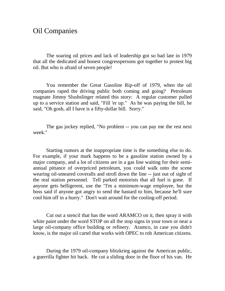### Oil Companies

The soaring oil prices and lack of leadership got so bad late in 1979 that all the dedicated and honest congresspersons got together to protest big oil. But who is afraid of seven people!

 You remember the Great Gasoline Rip-off of 1979, when the oil companies raped the driving public both coming and going? Petroleum magnate Jimmy Slushslinger related this story: A regular customer pulled up to a service station and said, "Fill 'er up." As he was paying the bill, he said, "Oh gosh, all I have is a fifty-dollar bill. Sorry."

 The gas jockey replied, "No problem -- you can pay me the rest next week."

 Starting rumors at the inappropriate time is the something else to do. For example, if your mark happens to be a gasoline station owned by a major company, and a lot of citizens are in a gas line waiting for their semiannual pittance of overpriced petroleum, you could walk onto the scene wearing oil-smeared coveralls and stroll down the line -- just out of sight of the real station personnel. Tell parked motorists that all fuel is gone. If anyone gets belligerent, use the "I'm a minimum-wage employee, but the boss said if anyone got angry to send the bastard to him, because he'll sure cool him off in a hurry." Don't wait around for the cooling-off period.

 Cut out a stencil that has the word ARAMCO on it, then spray it with white paint under the word STOP on all the stop signs in your town or near a large oil-company office building or refinery. Aramco, in case you didn't know, is the major oil cartel that works with OPEC to rob American citizens.

 During the 1979 oil-company blitzkrieg against the American public, a guerrilla fighter hit back. He cut a sliding door in the floor of his van. He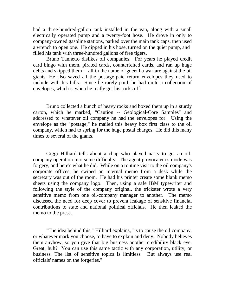had a three-hundred-gallon tank installed in the van, along with a small electrically operated pump and a twenty-foot hose. He drove in only to company-owned gasoline stations, parked over the main tank caps, then used a wrench to open one. He dipped in his hose, turned on the quiet pump, and filled his tank with three-hundred gallons of free tigers.

 Bruno Tannetto dislikes oil companies. For years he played credit card bingo with them, pirated cards, counterfeited cards, and ran up huge debts and skipped them -- all in the name of guerrilla warfare against the oil giants. He also saved all the postage-paid return envelopes they used to include with his bills. Since he rarely paid, he had quite a collection of envelopes, which is when he really got his rocks off.

 Bruno collected a bunch of heavy rocks and boxed them up in a sturdy carton, which he marked, "Caution -- Geological-Core Samples" and addressed to whatever oil company he had the envelopes for. Using the envelope as the "postage," he mailed this heavy box first class to the oil company, which had to spring for the huge postal charges. He did this many times to several of the giants.

 Giggi Hilliard tells about a chap who played nasty to get an oilcompany operation into some difficulty. The agent provocateur's mode was forgery, and here's what he did. While on a routine visit to the oil company's corporate offices, he swiped an internal memo from a desk while the secretary was out of the room. He had his printer create some blank memo sheets using the company logo. Then, using a safe IBM typewriter and following the style of the company original, the trickster wrote a very sensitive memo from one oil-company manager to another. The memo discussed the need for deep cover to prevent leakage of sensitive financial contributions to state and national political officials. He then leaked the memo to the press.

 "The idea behind this," Hilliard explains, "is to cause the oil company, or whatever mark you choose, to have to explain and deny. Nobody believes them anyhow, so you give that big business another credibility black eye. Great, huh? You can use this same tactic with any corporation, utility, or business. The list of sensitive topics is limitless. But always use real officials' names on the forgeries."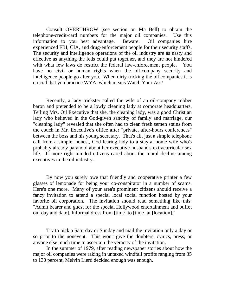Consult OVERTHROW (see section on Ma Bell) to obtain the telephone-credit-card numbers for the major oil companies. Use this information to you best advantage. Beware: Oil companies hire experienced FBI, CIA, and drug-enforcement people for their security staffs. The security and intelligence operations of the oil industry are as nasty and effective as anything the feds could put together, and they are not hindered with what few laws do restrict the federal law-enforcement people. You have no civil or human rights when the oil-company security and intelligence people go after you. When dirty tricking the oil companies it is crucial that you practice WYA, which means Watch Your Ass!

 Recently, a lady trickster called the wife of an oil-company robber baron and pretended to be a lowly cleaning lady at corporate headquarters. Telling Mrs. Oil Executive that she, the cleaning lady, was a good Christian lady who believed in the God-given sanctity of family and marriage, our "cleaning lady" revealed that she often had to clean fresh semen stains from the couch in Mr. Executive's office after "private, after-hours conferences" between the boss and his young secretary. That's all, just a simple telephone call from a simple, honest, God-fearing lady to a stay-at-home wife who's probably already paranoid about her executive-husband's extracurricular sex life. If more right-minded citizens cared about the moral decline among executives in the oil industry...

 By now you surely owe that friendly and cooperative printer a few glasses of lemonade for being your co-conspirator in a number of scams. Here's one more. Many of your area's prominent citizens should receive a fancy invitation to attend a special local social function hosted by your favorite oil corporation. The invitation should read something like this: "Admit bearer and guest for the special Hollywood entertainment and buffet on [day and date]. Informal dress from [time] to [time] at [location]."

 Try to pick a Saturday or Sunday and mail the invitation only a day or so prior to the nonevent. This won't give the doubters, cynics, press, or anyone else much time to ascertain the veracity of the invitation.

 In the summer of 1979, after reading newspaper stories about how the major oil companies were raking in untaxed windfall profits ranging from 35 to 130 percent, Melvin Lierd decided enough was enough.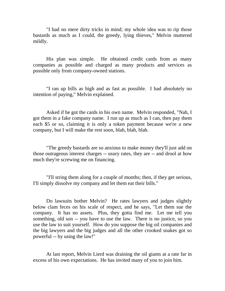"I had no mere dirty tricks in mind; my whole idea was to rip those bastards as much as I could, the greedy, lying thieves," Melvin muttered mildly.

 His plan was simple. He obtained credit cards from as many companies as possible and charged as many products and services as possible only from company-owned stations.

 "I ran up bills as high and as fast as possible. I had absolutely no intention of paying," Melvin explained.

 Asked if he got the cards in his own name. Melvin responded, "Nah, I got them in a fake company name. I run up as much as I can, then pay them each \$5 or so, claiming it is only a token payment because we're a new company, but I will make the rest soon, blah, blah, blah.

 "The greedy bastards are so anxious to make money they'll just add on those outrageous interest charges -- usury rates, they are -- and drool at how much they're screwing me on financing.

 "I'll string them along for a couple of months; then, if they get serious, I'll simply dissolve my company and let them eat their bills."

 Do lawsuits bother Melvin? He rates lawyers and judges slightly below clam feces on his scale of respect, and he says, "Let them sue the company. It has no assets. Plus, they gotta find me. Let me tell you something, old son -- you have to use the law. There is no justice, so you use the law to suit yourself. How do you suppose the big oil companies and the big lawyers and the big judges and all the other crooked snakes got so powerful -- by using the law!"

 At last report, Melvin Lierd was draining the oil giants at a rate far in excess of his own expectations. He has invited many of you to join him.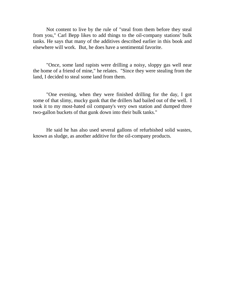Not content to live by the rule of "steal from them before they steal from you," Carl Bepp likes to add things to the oil-company stations' bulk tanks. He says that many of the additives described earlier in this book and elsewhere will work. But, he does have a sentimental favorite.

 "Once, some land rapists were drilling a noisy, sloppy gas well near the home of a friend of mine," he relates. "Since they were stealing from the land, I decided to steal some land from them.

 "One evening, when they were finished drilling for the day, I got some of that slimy, mucky gunk that the drillers had bailed out of the well. I took it to my most-hated oil company's very own station and dumped three two-gallon buckets of that gunk down into their bulk tanks."

 He said he has also used several gallons of refurbished solid wastes, known as sludge, as another additive for the oil-company products.